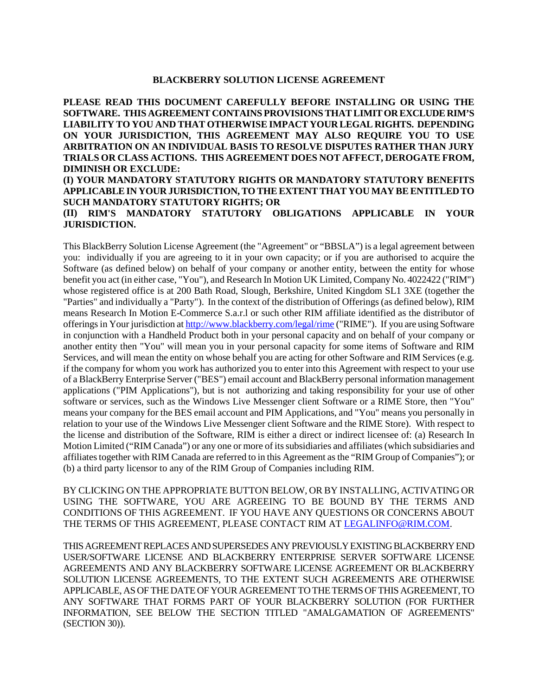#### **BLACKBERRY SOLUTION LICENSE AGREEMENT**

# **PLEASE READ THIS DOCUMENT CAREFULLY BEFORE INSTALLING OR USING THE SOFTWARE. THIS AGREEMENT CONTAINS PROVISIONS THAT LIMIT OR EXCLUDE RIM'S LIABILITY TO YOU AND THAT OTHERWISE IMPACT YOUR LEGAL RIGHTS. DEPENDING ON YOUR JURISDICTION, THIS AGREEMENT MAY ALSO REQUIRE YOU TO USE ARBITRATION ON AN INDIVIDUAL BASIS TO RESOLVE DISPUTES RATHER THAN JURY TRIALS OR CLASS ACTIONS. THIS AGREEMENT DOES NOT AFFECT, DEROGATE FROM, DIMINISH OR EXCLUDE: (I) YOUR MANDATORY STATUTORY RIGHTS OR MANDATORY STATUTORY BENEFITS APPLICABLE IN YOUR JURISDICTION, TO THE EXTENT THAT YOU MAY BE ENTITLED TO SUCH MANDATORY STATUTORY RIGHTS; OR (II) RIM'S MANDATORY STATUTORY OBLIGATIONS APPLICABLE IN YOUR JURISDICTION.**

This BlackBerry Solution License Agreement (the "Agreement" or "BBSLA") is a legal agreement between you: individually if you are agreeing to it in your own capacity; or if you are authorised to acquire the Software (as defined below) on behalf of your company or another entity, between the entity for whose benefit you act (in either case, "You"), and Research In Motion UK Limited, Company No. 4022422 ("RIM") whose registered office is at 200 Bath Road, Slough, Berkshire, United Kingdom SL1 3XE (together the "Parties" and individually a "Party"). In the context of the distribution of Offerings (as defined below), RIM means Research In Motion E-Commerce S.a.r.l or such other RIM affiliate identified as the distributor of offerings in Your jurisdiction at http://www.blackberry.com/legal/rime ("RIME"). If you are using Software in conjunction with a Handheld Product both in your personal capacity and on behalf of your company or another entity then "You" will mean you in your personal capacity for some items of Software and RIM Services, and will mean the entity on whose behalf you are acting for other Software and RIM Services (e.g. if the company for whom you work has authorized you to enter into this Agreement with respect to your use of a BlackBerry Enterprise Server ("BES") email account and BlackBerry personal information management applications ("PIM Applications"), but is not authorizing and taking responsibility for your use of other software or services, such as the Windows Live Messenger client Software or a RIME Store, then "You" means your company for the BES email account and PIM Applications, and "You" means you personally in relation to your use of the Windows Live Messenger client Software and the RIME Store). With respect to the license and distribution of the Software, RIM is either a direct or indirect licensee of: (a) Research In Motion Limited ("RIM Canada") or any one or more of its subsidiaries and affiliates (which subsidiaries and affiliates together with RIM Canada are referred to in this Agreement as the "RIM Group of Companies"); or (b) a third party licensor to any of the RIM Group of Companies including RIM.

BY CLICKING ON THE APPROPRIATE BUTTON BELOW, OR BY INSTALLING, ACTIVATING OR USING THE SOFTWARE, YOU ARE AGREEING TO BE BOUND BY THE TERMS AND CONDITIONS OF THIS AGREEMENT. IF YOU HAVE ANY QUESTIONS OR CONCERNS ABOUT THE TERMS OF THIS AGREEMENT, PLEASE CONTACT RIM AT LEGALINFO@RIM.COM.

THIS AGREEMENT REPLACES AND SUPERSEDES ANY PREVIOUSLY EXISTING BLACKBERRY END USER/SOFTWARE LICENSE AND BLACKBERRY ENTERPRISE SERVER SOFTWARE LICENSE AGREEMENTS AND ANY BLACKBERRY SOFTWARE LICENSE AGREEMENT OR BLACKBERRY SOLUTION LICENSE AGREEMENTS, TO THE EXTENT SUCH AGREEMENTS ARE OTHERWISE APPLICABLE, AS OF THE DATE OF YOUR AGREEMENT TO THE TERMSOF THIS AGREEMENT, TO ANY SOFTWARE THAT FORMS PART OF YOUR BLACKBERRY SOLUTION (FOR FURTHER INFORMATION, SEE BELOW THE SECTION TITLED "AMALGAMATION OF AGREEMENTS" (SECTION 30)).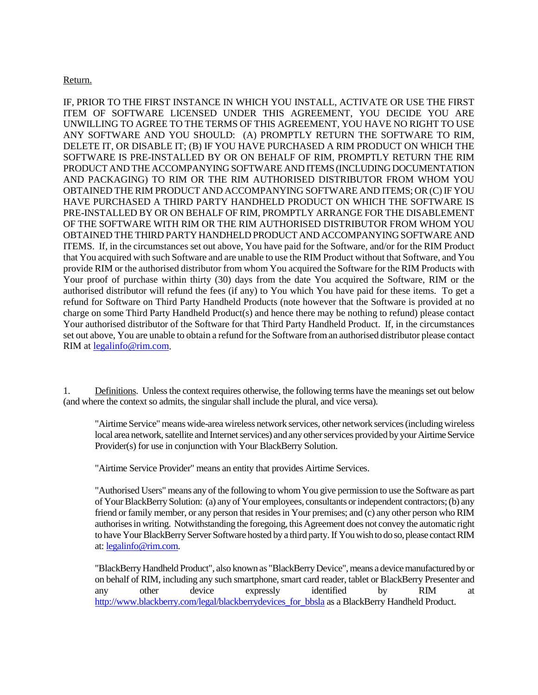### Return.

IF, PRIOR TO THE FIRST INSTANCE IN WHICH YOU INSTALL, ACTIVATE OR USE THE FIRST ITEM OF SOFTWARE LICENSED UNDER THIS AGREEMENT, YOU DECIDE YOU ARE UNWILLING TO AGREE TO THE TERMS OF THIS AGREEMENT, YOU HAVE NO RIGHT TO USE ANY SOFTWARE AND YOU SHOULD: (A) PROMPTLY RETURN THE SOFTWARE TO RIM, DELETE IT, OR DISABLE IT; (B) IF YOU HAVE PURCHASED A RIM PRODUCT ON WHICH THE SOFTWARE IS PRE-INSTALLED BY OR ON BEHALF OF RIM, PROMPTLY RETURN THE RIM PRODUCT AND THE ACCOMPANYING SOFTWARE AND ITEMS (INCLUDING DOCUMENTATION AND PACKAGING) TO RIM OR THE RIM AUTHORISED DISTRIBUTOR FROM WHOM YOU OBTAINED THE RIM PRODUCT AND ACCOMPANYING SOFTWARE AND ITEMS; OR (C) IF YOU HAVE PURCHASED A THIRD PARTY HANDHELD PRODUCT ON WHICH THE SOFTWARE IS PRE-INSTALLED BY OR ON BEHALF OF RIM, PROMPTLY ARRANGE FOR THE DISABLEMENT OF THE SOFTWARE WITH RIM OR THE RIM AUTHORISED DISTRIBUTOR FROM WHOM YOU OBTAINED THE THIRD PARTY HANDHELD PRODUCT AND ACCOMPANYING SOFTWARE AND ITEMS. If, in the circumstances set out above, You have paid for the Software, and/or for the RIM Product that You acquired with such Software and are unable to use the RIM Product without that Software, and You provide RIM or the authorised distributor from whom You acquired the Software for the RIM Products with Your proof of purchase within thirty (30) days from the date You acquired the Software, RIM or the authorised distributor will refund the fees (if any) to You which You have paid for these items. To get a refund for Software on Third Party Handheld Products (note however that the Software is provided at no charge on some Third Party Handheld Product(s) and hence there may be nothing to refund) please contact Your authorised distributor of the Software for that Third Party Handheld Product. If, in the circumstances set out above, You are unable to obtain a refund for the Software from an authorised distributor please contact RIM at legalinfo@rim.com.

1. Definitions. Unless the context requires otherwise, the following terms have the meanings set out below (and where the context so admits, the singular shall include the plural, and vice versa).

"Airtime Service" means wide-area wireless network services, other network services (includingwireless local area network, satellite and Internet services) and any other services provided by your Airtime Service Provider(s) for use in conjunction with Your BlackBerry Solution.

"Airtime Service Provider" means an entity that provides Airtime Services.

"Authorised Users" means any of the following to whom You give permission to use the Software as part of Your BlackBerry Solution: (a) any of Your employees, consultants or independent contractors; (b) any friend or family member, or any person that resides in Your premises; and (c) any other person who RIM authorises in writing. Notwithstanding the foregoing, this Agreement does not convey the automatic right to have Your BlackBerry Server Software hosted by a third party.If You wish to do so, please contact RIM at: legalinfo@rim.com.

"BlackBerry Handheld Product", also known as "BlackBerry Device", means a device manufactured by or on behalf of RIM, including any such smartphone, smart card reader, tablet or BlackBerry Presenter and any other device expressly identified by RIM at http://www.blackberry.com/legal/blackberrydevices for bbsla as a BlackBerry Handheld Product.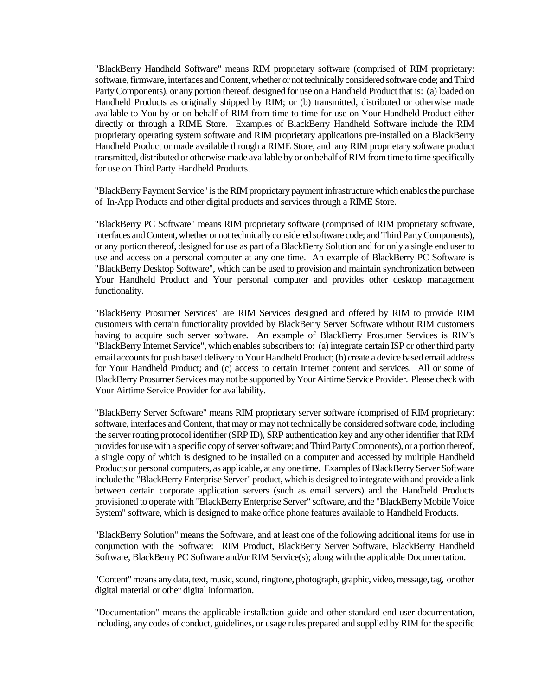"BlackBerry Handheld Software" means RIM proprietary software (comprised of RIM proprietary: software, firmware, interfaces and Content, whether or not technically considered software code; and Third Party Components), or any portion thereof, designed for use on a Handheld Product that is: (a) loaded on Handheld Products as originally shipped by RIM; or (b) transmitted, distributed or otherwise made available to You by or on behalf of RIM from time-to-time for use on Your Handheld Product either directly or through a RIME Store. Examples of BlackBerry Handheld Software include the RIM proprietary operating system software and RIM proprietary applications pre-installed on a BlackBerry Handheld Product or made available through a RIME Store, and any RIM proprietary software product transmitted, distributed or otherwise made available by or on behalf of RIM from time to time specifically for use on Third Party Handheld Products.

"BlackBerry Payment Service" is the RIM proprietary payment infrastructure which enables the purchase of In-App Products and other digital products and services through a RIME Store.

"BlackBerry PC Software" means RIM proprietary software (comprised of RIM proprietary software, interfaces and Content, whether or not technically considered software code; and Third Party Components), or any portion thereof, designed for use as part of a BlackBerry Solution and for only a single end user to use and access on a personal computer at any one time. An example of BlackBerry PC Software is "BlackBerry Desktop Software", which can be used to provision and maintain synchronization between Your Handheld Product and Your personal computer and provides other desktop management functionality.

"BlackBerry Prosumer Services" are RIM Services designed and offered by RIM to provide RIM customers with certain functionality provided by BlackBerry Server Software without RIM customers having to acquire such server software. An example of BlackBerry Prosumer Services is RIM's "BlackBerry Internet Service", which enables subscribers to: (a) integrate certain ISP or other third party email accounts for push based delivery to Your Handheld Product; (b) create a device based email address for Your Handheld Product; and (c) access to certain Internet content and services. All or some of BlackBerry Prosumer Services may not be supported by Your Airtime Service Provider. Please check with Your Airtime Service Provider for availability.

"BlackBerry Server Software" means RIM proprietary server software (comprised of RIM proprietary: software, interfaces and Content, that may or may not technically be considered software code, including the server routing protocol identifier (SRP ID), SRP authentication key and any other identifier that RIM provides for use with a specific copy of server software; and Third Party Components), or a portion thereof, a single copy of which is designed to be installed on a computer and accessed by multiple Handheld Products or personal computers, as applicable, at any one time. Examples of BlackBerry Server Software include the "BlackBerry Enterprise Server" product, which is designed to integrate with and provide a link between certain corporate application servers (such as email servers) and the Handheld Products provisioned to operate with "BlackBerry Enterprise Server" software, and the "BlackBerry Mobile Voice System" software, which is designed to make office phone features available to Handheld Products.

"BlackBerry Solution" means the Software, and at least one of the following additional items for use in conjunction with the Software: RIM Product, BlackBerry Server Software, BlackBerry Handheld Software, BlackBerry PC Software and/or RIM Service(s); along with the applicable Documentation.

"Content" means any data, text, music, sound, ringtone, photograph, graphic, video, message, tag, or other digital material or other digital information.

"Documentation" means the applicable installation guide and other standard end user documentation, including, any codes of conduct, guidelines, or usage rules prepared and supplied by RIM for the specific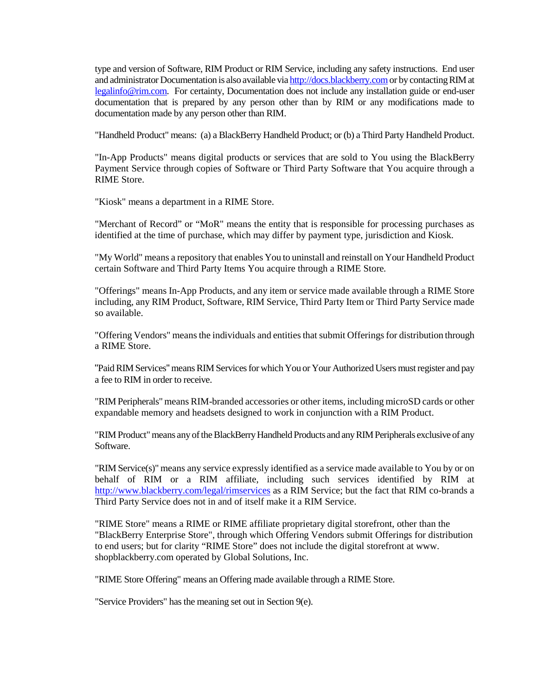type and version of Software, RIM Product or RIM Service, including any safety instructions. End user and administrator Documentation is also available via http://docs.blackberry.com or by contacting RIM at legalinfo@rim.com. For certainty, Documentation does not include any installation guide or end-user documentation that is prepared by any person other than by RIM or any modifications made to documentation made by any person other than RIM.

"Handheld Product" means: (a) a BlackBerry Handheld Product; or (b) a Third Party Handheld Product.

"In-App Products" means digital products or services that are sold to You using the BlackBerry Payment Service through copies of Software or Third Party Software that You acquire through a RIME Store.

"Kiosk" means a department in a RIME Store.

"Merchant of Record" or "MoR" means the entity that is responsible for processing purchases as identified at the time of purchase, which may differ by payment type, jurisdiction and Kiosk.

"My World" means a repository that enables You to uninstall and reinstall on Your Handheld Product certain Software and Third Party Items You acquire through a RIME Store*.*

"Offerings" means In-App Products, and any item or service made available through a RIME Store including, any RIM Product, Software, RIM Service, Third Party Item or Third Party Service made so available.

"Offering Vendors" means the individuals and entities that submit Offerings for distribution through a RIME Store.

"Paid RIM Services" means RIM Services for which You or Your Authorized Users must register and pay a fee to RIM in order to receive.

"RIM Peripherals" means RIM-branded accessories or other items, including microSD cards or other expandable memory and headsets designed to work in conjunction with a RIM Product.

"RIM Product" means any of the BlackBerry Handheld Products and any RIM Peripherals exclusive of any Software.

"RIM Service(s)" means any service expressly identified as a service made available to You by or on behalf of RIM or a RIM affiliate, including such services identified by RIM at http://www.blackberry.com/legal/rimservices as a RIM Service; but the fact that RIM co-brands a Third Party Service does not in and of itself make it a RIM Service.

"RIME Store" means a RIME or RIME affiliate proprietary digital storefront, other than the "BlackBerry Enterprise Store", through which Offering Vendors submit Offerings for distribution to end users; but for clarity "RIME Store" does not include the digital storefront at www. shopblackberry.com operated by Global Solutions, Inc.

"RIME Store Offering" means an Offering made available through a RIME Store.

"Service Providers" has the meaning set out in Section 9(e).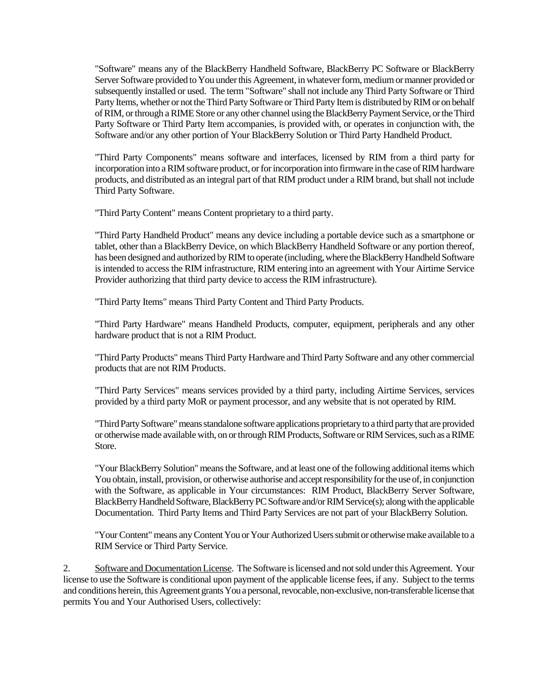"Software" means any of the BlackBerry Handheld Software, BlackBerry PC Software or BlackBerry Server Software provided to You under this Agreement, in whatever form, medium or manner provided or subsequently installed or used. The term "Software" shall not include any Third Party Software or Third Party Items, whether or not the Third Party Software or Third Party Item is distributed by RIM or on behalf of RIM, or through a RIME Store or any other channel using the BlackBerry Payment Service, or the Third Party Software or Third Party Item accompanies, is provided with, or operates in conjunction with, the Software and/or any other portion of Your BlackBerry Solution or Third Party Handheld Product.

"Third Party Components" means software and interfaces, licensed by RIM from a third party for incorporation into a RIM software product, or for incorporation into firmware in the case of RIM hardware products, and distributed as an integral part of that RIM product under a RIM brand, but shall not include Third Party Software.

"Third Party Content" means Content proprietary to a third party.

"Third Party Handheld Product" means any device including a portable device such as a smartphone or tablet, other than a BlackBerry Device, on which BlackBerry Handheld Software or any portion thereof, has been designed and authorized by RIM to operate (including, where the BlackBerry Handheld Software is intended to access the RIM infrastructure, RIM entering into an agreement with Your Airtime Service Provider authorizing that third party device to access the RIM infrastructure).

"Third Party Items" means Third Party Content and Third Party Products.

"Third Party Hardware" means Handheld Products, computer, equipment, peripherals and any other hardware product that is not a RIM Product.

"Third Party Products" means Third Party Hardware and Third Party Software and any other commercial products that are not RIM Products.

"Third Party Services" means services provided by a third party, including Airtime Services, services provided by a third party MoR or payment processor, and any website that is not operated by RIM.

"Third Party Software" means standalone software applications proprietary to a third party that are provided or otherwise made available with, on or through RIM Products, Software or RIM Services, such as a RIME Store.

"Your BlackBerry Solution" means the Software, and at least one of the following additional items which You obtain, install, provision, or otherwise authorise and accept responsibility for the use of, in conjunction with the Software, as applicable in Your circumstances: RIM Product, BlackBerry Server Software, BlackBerry Handheld Software, BlackBerry PC Software and/or RIM Service(s); along with the applicable Documentation. Third Party Items and Third Party Services are not part of your BlackBerry Solution.

"Your Content" means any Content You or Your Authorized Users submit or otherwise make available to a RIM Service or Third Party Service.

2. Software and Documentation License. The Software is licensed and not sold under this Agreement. Your license to use the Software is conditional upon payment of the applicable license fees, if any. Subject to the terms and conditions herein, this Agreement grants You a personal, revocable, non-exclusive, non-transferable license that permits You and Your Authorised Users, collectively: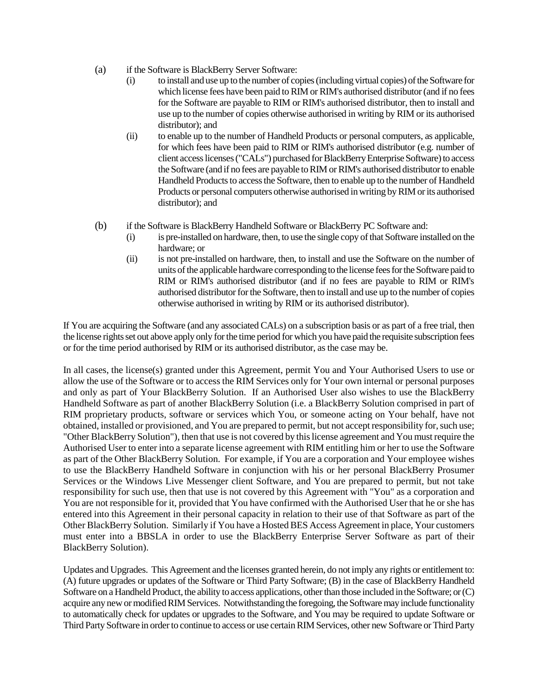- (a) if the Software is BlackBerry Server Software:
	- (i) to install and use up to the number of copies (including virtual copies) of the Software for which license fees have been paid to RIM or RIM's authorised distributor (and if no fees for the Software are payable to RIM or RIM's authorised distributor, then to install and use up to the number of copies otherwise authorised in writing by RIM or its authorised distributor); and
	- (ii) to enable up to the number of Handheld Products or personal computers, as applicable, for which fees have been paid to RIM or RIM's authorised distributor (e.g. number of client access licenses ("CALs") purchased for BlackBerry Enterprise Software) to access the Software (and if no fees are payable to RIM or RIM's authorised distributor to enable Handheld Products to access the Software, then to enable up to the number of Handheld Products or personal computers otherwise authorised in writing by RIM or its authorised distributor); and
- (b) if the Software is BlackBerry Handheld Software or BlackBerry PC Software and:
	- (i) is pre-installed on hardware, then, to use the single copy of that Software installed on the hardware; or
	- (ii) is not pre-installed on hardware, then, to install and use the Software on the number of units of the applicable hardware corresponding to the license fees for the Software paid to RIM or RIM's authorised distributor (and if no fees are payable to RIM or RIM's authorised distributor for the Software, then to install and use up to the number of copies otherwise authorised in writing by RIM or its authorised distributor).

If You are acquiring the Software (and any associated CALs) on a subscription basis or as part of a free trial, then the license rights set out above apply only for the time period for which you have paid the requisite subscription fees or for the time period authorised by RIM or its authorised distributor, as the case may be.

In all cases, the license(s) granted under this Agreement, permit You and Your Authorised Users to use or allow the use of the Software or to access the RIM Services only for Your own internal or personal purposes and only as part of Your BlackBerry Solution. If an Authorised User also wishes to use the BlackBerry Handheld Software as part of another BlackBerry Solution (i.e. a BlackBerry Solution comprised in part of RIM proprietary products, software or services which You, or someone acting on Your behalf, have not obtained, installed or provisioned, and You are prepared to permit, but not accept responsibility for, such use; "Other BlackBerry Solution"), then that use is not covered by this license agreement and You must require the Authorised User to enter into a separate license agreement with RIM entitling him or her to use the Software as part of the Other BlackBerry Solution. For example, if You are a corporation and Your employee wishes to use the BlackBerry Handheld Software in conjunction with his or her personal BlackBerry Prosumer Services or the Windows Live Messenger client Software, and You are prepared to permit, but not take responsibility for such use, then that use is not covered by this Agreement with "You" as a corporation and You are not responsible for it, provided that You have confirmed with the Authorised User that he or she has entered into this Agreement in their personal capacity in relation to their use of that Software as part of the Other BlackBerry Solution. Similarly if You have a Hosted BES Access Agreement in place, Your customers must enter into a BBSLA in order to use the BlackBerry Enterprise Server Software as part of their BlackBerry Solution).

Updates and Upgrades. This Agreement and the licenses granted herein, do not imply any rights or entitlement to: (A) future upgrades or updates of the Software or Third Party Software; (B) in the case of BlackBerry Handheld Software on a Handheld Product, the ability to access applications, other than those included in the Software; or (C) acquire any new or modified RIM Services. Notwithstanding the foregoing, the Software may include functionality to automatically check for updates or upgrades to the Software, and You may be required to update Software or Third Party Software in order to continue to access or use certain RIM Services, other new Software or Third Party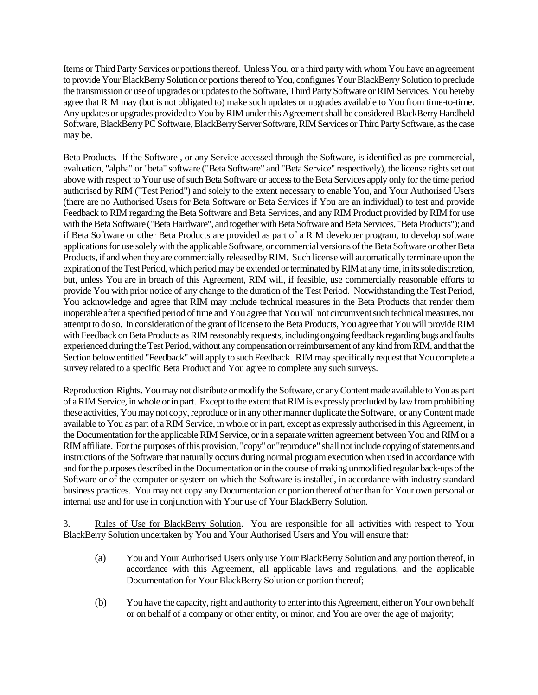Items or Third Party Services or portions thereof. Unless You, or a third party with whom You have an agreement to provide Your BlackBerry Solution or portions thereof to You, configures Your BlackBerry Solution to preclude the transmission or use of upgrades or updates to the Software, Third Party Software or RIM Services, You hereby agree that RIM may (but is not obligated to) make such updates or upgrades available to You from time-to-time. Any updates or upgrades provided to You by RIM under this Agreement shall be considered BlackBerry Handheld Software, BlackBerry PC Software, BlackBerry Server Software, RIM Services or Third Party Software, as the case may be.

Beta Products. If the Software , or any Service accessed through the Software, is identified as pre-commercial, evaluation, "alpha" or "beta" software ("Beta Software" and "Beta Service" respectively), the license rights set out above with respect to Your use of such Beta Software or access to the Beta Services apply only for the time period authorised by RIM ("Test Period") and solely to the extent necessary to enable You, and Your Authorised Users (there are no Authorised Users for Beta Software or Beta Services if You are an individual) to test and provide Feedback to RIM regarding the Beta Software and Beta Services, and any RIM Product provided by RIM for use with the Beta Software ("Beta Hardware", and together with Beta Software and Beta Services, "Beta Products"); and if Beta Software or other Beta Products are provided as part of a RIM developer program, to develop software applications for use solely with the applicable Software, or commercial versions of the Beta Software or other Beta Products, if and when they are commercially released by RIM. Such license will automatically terminate upon the expiration of the Test Period, which period may be extended or terminated by RIM at any time, in its sole discretion, but, unless You are in breach of this Agreement, RIM will, if feasible, use commercially reasonable efforts to provide You with prior notice of any change to the duration of the Test Period. Notwithstanding the Test Period, You acknowledge and agree that RIM may include technical measures in the Beta Products that render them inoperable after a specified period of time and You agree that You will not circumvent such technical measures, nor attempt to do so. In consideration of the grant of license to the Beta Products, You agree that You will provide RIM with Feedback on Beta Products as RIM reasonably requests, including ongoing feedback regarding bugs and faults experienced during the Test Period, without any compensation or reimbursement of any kind from RIM, and that the Section below entitled "Feedback" will apply to such Feedback. RIM may specifically request that You complete a survey related to a specific Beta Product and You agree to complete any such surveys.

Reproduction Rights. You may not distribute or modify the Software, or any Content made available to You as part of a RIM Service, in whole or in part. Except to the extent that RIM is expressly precluded by law from prohibiting these activities, You may not copy, reproduce or in any other manner duplicate the Software, or any Content made available to You as part of a RIM Service, in whole or in part, except as expressly authorised in this Agreement, in the Documentation for the applicable RIM Service, or in a separate written agreement between You and RIM or a RIM affiliate. For the purposes of this provision, "copy" or "reproduce" shall not include copying of statements and instructions of the Software that naturally occurs during normal program execution when used in accordance with and for the purposes described in the Documentation or in the course of making unmodified regular back-ups of the Software or of the computer or system on which the Software is installed, in accordance with industry standard business practices. You may not copy any Documentation or portion thereof other than for Your own personal or internal use and for use in conjunction with Your use of Your BlackBerry Solution.

3. Rules of Use for BlackBerry Solution. You are responsible for all activities with respect to Your BlackBerry Solution undertaken by You and Your Authorised Users and You will ensure that:

- (a) You and Your Authorised Users only use Your BlackBerry Solution and any portion thereof, in accordance with this Agreement, all applicable laws and regulations, and the applicable Documentation for Your BlackBerry Solution or portion thereof;
- (b) You have the capacity, right and authority to enter into this Agreement, either on Your own behalf or on behalf of a company or other entity, or minor, and You are over the age of majority;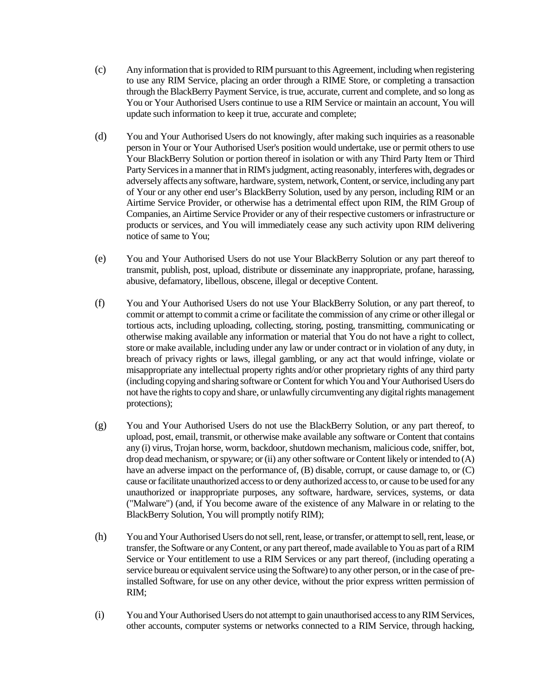- (c) Any information that is provided to RIM pursuant to this Agreement, including when registering to use any RIM Service, placing an order through a RIME Store, or completing a transaction through the BlackBerry Payment Service, is true, accurate, current and complete, and so long as You or Your Authorised Users continue to use a RIM Service or maintain an account, You will update such information to keep it true, accurate and complete;
- (d) You and Your Authorised Users do not knowingly, after making such inquiries as a reasonable person in Your or Your Authorised User's position would undertake, use or permit others to use Your BlackBerry Solution or portion thereof in isolation or with any Third Party Item or Third Party Servicesin a manner that in RIM's judgment, acting reasonably, interferes with, degrades or adversely affects any software, hardware, system, network,Content, or service, including any part of Your or any other end user's BlackBerry Solution, used by any person, including RIM or an Airtime Service Provider, or otherwise has a detrimental effect upon RIM, the RIM Group of Companies, an Airtime Service Provider or any of their respective customers or infrastructure or products or services, and You will immediately cease any such activity upon RIM delivering notice of same to You;
- (e) You and Your Authorised Users do not use Your BlackBerry Solution or any part thereof to transmit, publish, post, upload, distribute or disseminate any inappropriate, profane, harassing, abusive, defamatory, libellous, obscene, illegal or deceptive Content.
- (f) You and Your Authorised Users do not use Your BlackBerry Solution, or any part thereof, to commit or attempt to commit a crime or facilitate the commission of any crime or other illegal or tortious acts, including uploading, collecting, storing, posting, transmitting, communicating or otherwise making available any information or material that You do not have a right to collect, store or make available, including under any law or under contract or in violation of any duty, in breach of privacy rights or laws, illegal gambling, or any act that would infringe, violate or misappropriate any intellectual property rights and/or other proprietary rights of any third party (including copying and sharing software or Content for which You and Your Authorised Users do not have the rights to copy and share, or unlawfully circumventing any digital rights management protections);
- (g) You and Your Authorised Users do not use the BlackBerry Solution, or any part thereof, to upload, post, email, transmit, or otherwise make available any software or Content that contains any (i) virus, Trojan horse, worm, backdoor, shutdown mechanism, malicious code, sniffer, bot, drop dead mechanism, or spyware; or (ii) any other software or Content likely or intended to (A) have an adverse impact on the performance of, (B) disable, corrupt, or cause damage to, or (C) cause or facilitate unauthorized access to or deny authorized access to, or cause to be used for any unauthorized or inappropriate purposes, any software, hardware, services, systems, or data ("Malware") (and, if You become aware of the existence of any Malware in or relating to the BlackBerry Solution, You will promptly notify RIM);
- (h) You and Your Authorised Users do not sell, rent, lease, or transfer, or attempt to sell, rent, lease, or transfer, the Software or any Content, or any part thereof, made available to You as part of a RIM Service or Your entitlement to use a RIM Services or any part thereof, (including operating a service bureau or equivalent service using the Software) to any other person, or in the case of preinstalled Software, for use on any other device, without the prior express written permission of RIM;
- (i) You and Your Authorised Users do not attempt to gain unauthorised access to any RIM Services, other accounts, computer systems or networks connected to a RIM Service, through hacking,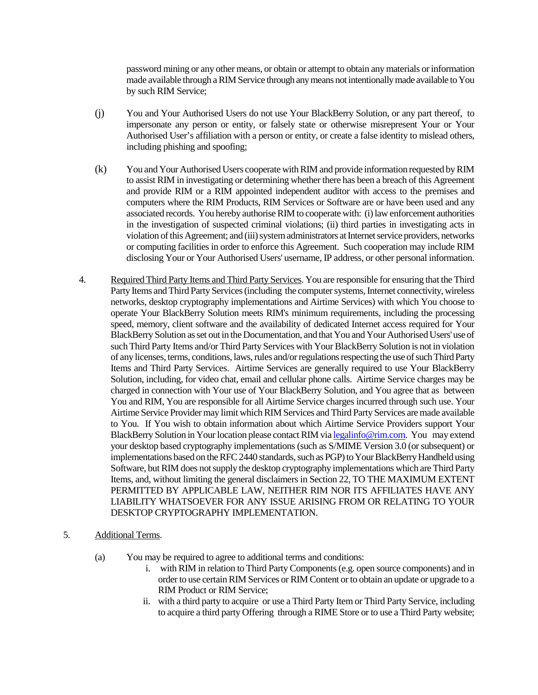password mining or any other means, or obtain or attempt to obtain any materials or information made available through a RIM Service through any means not intentionally made available to You by such RIM Service;

- (j) You and Your Authorised Users do not use Your BlackBerry Solution, or any part thereof, to impersonate any person or entity, or falsely state or otherwise misrepresent Your or Your Authorised User's affiliation with a person or entity, or create a false identity to mislead others, including phishing and spoofing;
- (k) You and Your Authorised Users cooperate with RIM and provide information requested by RIM to assist RIM in investigating or determining whether there has been a breach of this Agreement and provide RIM or a RIM appointed independent auditor with access to the premises and computers where the RIM Products, RIM Services or Software are or have been used and any associated records. You hereby authorise RIM to cooperate with: (i) law enforcement authorities in the investigation of suspected criminal violations; (ii) third parties in investigating acts in violation of this Agreement; and (iii) system administrators at Internet service providers, networks or computing facilities in order to enforce this Agreement. Such cooperation may include RIM disclosing Your or Your Authorised Users' username, IP address, or other personal information.
- 4. Required Third Party Items and Third Party Services. You are responsible for ensuring that the Third Party Items and Third Party Services (including the computer systems, Internet connectivity, wireless networks, desktop cryptography implementations and Airtime Services) with which You choose to operate Your BlackBerry Solution meets RIM's minimum requirements, including the processing speed, memory, client software and the availability of dedicated Internet access required for Your BlackBerry Solution as set out in the Documentation, and that You and Your Authorised Users' use of such Third Party Items and/or Third Party Services with Your BlackBerry Solution is not in violation of any licenses, terms, conditions, laws, rules and/or regulations respecting the use of such Third Party Items and Third Party Services. Airtime Services are generally required to use Your BlackBerry Solution, including, for video chat, email and cellular phone calls. Airtime Service charges may be charged in connection with Your use of Your BlackBerry Solution, and You agree that as between You and RIM, You are responsible for all Airtime Service charges incurred through such use. Your Airtime Service Provider may limit which RIM Services and Third Party Services are made available to You. If You wish to obtain information about which Airtime Service Providers support Your BlackBerry Solution in Your location please contact RIM via legalinfo@rim.com. You may extend your desktop based cryptography implementations (such as S/MIME Version 3.0 (or subsequent) or implementations based on the RFC 2440 standards, such as PGP) to Your BlackBerry Handheld using Software, but RIM does not supply the desktop cryptography implementations which are Third Party Items, and, without limiting the general disclaimers in Section 22, TO THE MAXIMUM EXTENT PERMITTED BY APPLICABLE LAW, NEITHER RIM NOR ITS AFFILIATES HAVE ANY LIABILITY WHATSOEVER FOR ANY ISSUE ARISING FROM OR RELATING TO YOUR DESKTOP CRYPTOGRAPHY IMPLEMENTATION.

### 5. Additional Terms.

- (a) You may be required to agree to additional terms and conditions:
	- i. with RIM in relation to Third Party Components (e.g. open source components) and in order to use certain RIM Services or RIM Content or to obtain an update or upgrade to a RIM Product or RIM Service;
	- ii. with a third party to acquire or use a Third Party Item or Third Party Service, including to acquire a third party Offering through a RIME Store or to use a Third Party website;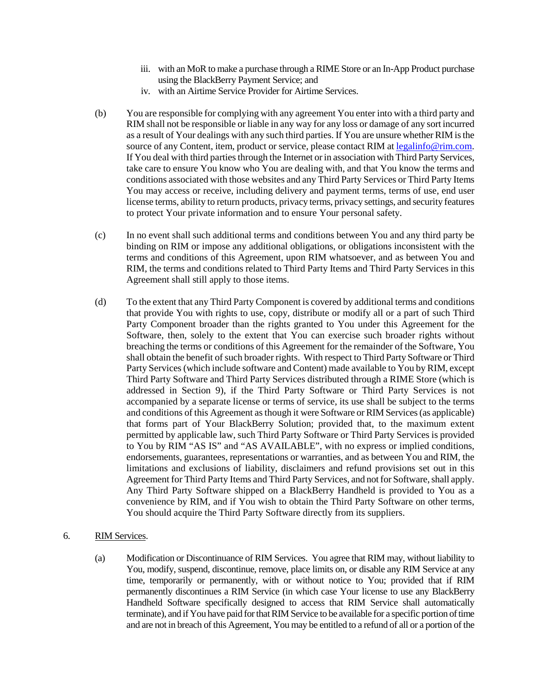- iii. with an MoR to make a purchase through a RIME Store or an In-App Product purchase using the BlackBerry Payment Service; and
- iv. with an Airtime Service Provider for Airtime Services.
- (b) You are responsible for complying with any agreement You enter into with a third party and RIM shall not be responsible or liable in any way for any loss or damage of any sort incurred as a result of Your dealings with any such third parties. If You are unsure whether RIM is the source of any Content, item, product or service, please contact RIM at legalinfo@rim.com. If You deal with third parties through the Internet or in association with Third Party Services, take care to ensure You know who You are dealing with, and that You know the terms and conditions associated with those websites and any Third Party Services or Third Party Items You may access or receive, including delivery and payment terms, terms of use, end user license terms, ability to return products, privacy terms, privacy settings, and security features to protect Your private information and to ensure Your personal safety.
- (c) In no event shall such additional terms and conditions between You and any third party be binding on RIM or impose any additional obligations, or obligations inconsistent with the terms and conditions of this Agreement, upon RIM whatsoever, and as between You and RIM, the terms and conditions related to Third Party Items and Third Party Services in this Agreement shall still apply to those items.
- (d) To the extent that any Third Party Component is covered by additional terms and conditions that provide You with rights to use, copy, distribute or modify all or a part of such Third Party Component broader than the rights granted to You under this Agreement for the Software, then, solely to the extent that You can exercise such broader rights without breaching the terms or conditions of this Agreement for the remainder of the Software, You shall obtain the benefit of such broader rights. With respect to Third Party Software or Third Party Services (which include software and Content) made available to You by RIM, except Third Party Software and Third Party Services distributed through a RIME Store (which is addressed in Section 9), if the Third Party Software or Third Party Services is not accompanied by a separate license or terms of service, its use shall be subject to the terms and conditions of this Agreement as though it were Software or RIM Services (as applicable) that forms part of Your BlackBerry Solution; provided that, to the maximum extent permitted by applicable law, such Third Party Software or Third Party Services is provided to You by RIM "AS IS" and "AS AVAILABLE", with no express or implied conditions, endorsements, guarantees, representations or warranties, and as between You and RIM, the limitations and exclusions of liability, disclaimers and refund provisions set out in this Agreement for Third Party Items and Third Party Services, and not for Software, shall apply. Any Third Party Software shipped on a BlackBerry Handheld is provided to You as a convenience by RIM, and if You wish to obtain the Third Party Software on other terms, You should acquire the Third Party Software directly from its suppliers.

### 6. RIM Services.

(a) Modification or Discontinuance of RIM Services. You agree that RIM may, without liability to You, modify, suspend, discontinue, remove, place limits on, or disable any RIM Service at any time, temporarily or permanently, with or without notice to You; provided that if RIM permanently discontinues a RIM Service (in which case Your license to use any BlackBerry Handheld Software specifically designed to access that RIM Service shall automatically terminate), and if You have paid for that RIM Service to be available for a specific portion of time and are not in breach of this Agreement, You may be entitled to a refund of all or a portion of the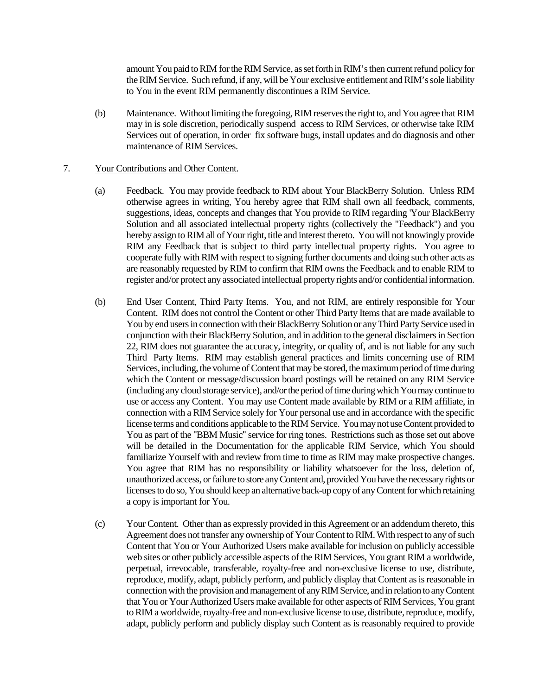amount You paid to RIM for the RIM Service, as set forth inRIM's then current refund policy for theRIM Service. Such refund, if any, will be Your exclusive entitlement and RIM's sole liability to You in the event RIM permanently discontinues a RIM Service.

(b) Maintenance. Without limiting the foregoing, RIM reserves the right to, and You agree that RIM may in is sole discretion, periodically suspend access to RIM Services, or otherwise take RIM Services out of operation, in order fix software bugs, install updates and do diagnosis and other maintenance of RIM Services.

### 7. Your Contributions and Other Content.

- (a) Feedback. You may provide feedback to RIM about Your BlackBerry Solution. Unless RIM otherwise agrees in writing, You hereby agree that RIM shall own all feedback, comments, suggestions, ideas, concepts and changes that You provide to RIM regarding 'Your BlackBerry Solution and all associated intellectual property rights (collectively the "Feedback") and you hereby assign to RIM all of Your right, title and interest thereto. You will not knowingly provide RIM any Feedback that is subject to third party intellectual property rights. You agree to cooperate fully with RIM with respect to signing further documents and doing such other acts as are reasonably requested by RIM to confirm that RIM owns the Feedback and to enable RIM to register and/or protect any associated intellectual property rights and/or confidential information.
- (b) End User Content, Third Party Items. You, and not RIM, are entirely responsible for Your Content. RIM does not control the Content or other Third Party Items that are made available to You by end users in connection with their BlackBerry Solution or any Third Party Service used in conjunction with their BlackBerry Solution, and in addition to the general disclaimers in Section 22, RIM does not guarantee the accuracy, integrity, or quality of, and is not liable for any such Third Party Items. RIM may establish general practices and limits concerning use of RIM Services, including, the volume of Content that may be stored, the maximum period of time during which the Content or message/discussion board postings will be retained on any RIM Service (including any cloud storage service), and/or the period of time during which You may continue to use or access any Content. You may use Content made available by RIM or a RIM affiliate, in connection with a RIM Service solely for Your personal use and in accordance with the specific license terms and conditions applicable to the RIM Service. You may not use Content provided to You as part of the "BBM Music" service for ring tones. Restrictions such as those set out above will be detailed in the Documentation for the applicable RIM Service, which You should familiarize Yourself with and review from time to time as RIM may make prospective changes. You agree that RIM has no responsibility or liability whatsoever for the loss, deletion of, unauthorized access, or failure to store any Content and, provided You have the necessary rights or licenses to do so, You should keep an alternative back-up copy of any Content for which retaining a copy is important for You.
- (c) Your Content. Other than as expressly provided in this Agreement or an addendum thereto, this Agreement does not transfer any ownership of Your Content to RIM. With respect to any of such Content that You or Your Authorized Users make available for inclusion on publicly accessible web sites or other publicly accessible aspects of the RIM Services, You grant RIM a worldwide, perpetual, irrevocable, transferable, royalty-free and non-exclusive license to use, distribute, reproduce, modify, adapt, publicly perform, and publicly display that Content as is reasonable in connection with the provision and management of any RIMService, and in relation to any Content that You or Your Authorized Users make available for other aspects of RIM Services, You grant to RIM a worldwide, royalty-free and non-exclusive license to use, distribute, reproduce, modify, adapt, publicly perform and publicly display such Content as is reasonably required to provide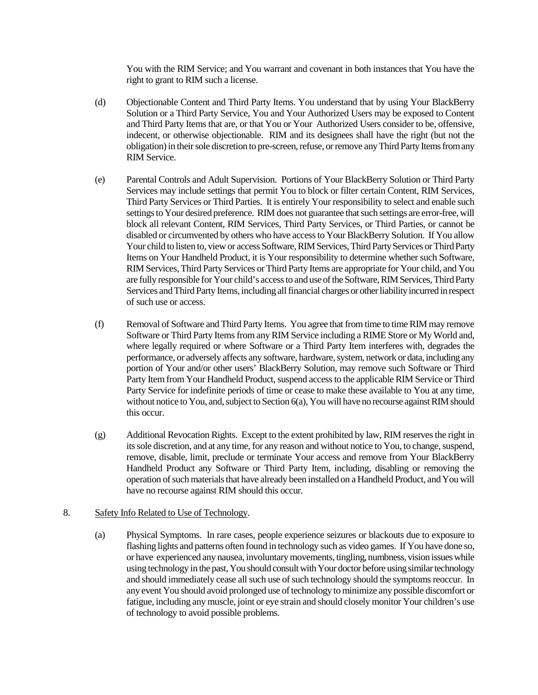You with the RIM Service; and You warrant and covenant in both instances that You have the right to grant to RIM such a license.

- (d) Objectionable Content and Third Party Items. You understand that by using Your BlackBerry Solution or a Third Party Service, You and Your Authorized Users may be exposed to Content and Third Party Items that are, or that You or Your Authorized Users consider to be, offensive, indecent, or otherwise objectionable. RIM and its designees shall have the right (but not the obligation) in their sole discretion to pre-screen, refuse, or remove any Third Party Itemsfrom any RIM Service.
- (e) Parental Controls and Adult Supervision. Portions of Your BlackBerry Solution or Third Party Services may include settings that permit You to block or filter certain Content, RIM Services, Third Party Services or Third Parties. It is entirely Your responsibility to select and enable such settings to Your desired preference. RIM does not guarantee that such settings are error-free, will block all relevant Content, RIM Services, Third Party Services, or Third Parties, or cannot be disabled or circumvented by others who have access to Your BlackBerry Solution. If You allow Your child to listen to, view or access Software, RIM Services, Third Party Services or Third Party Items on Your Handheld Product, it is Your responsibility to determine whether such Software, RIM Services, Third Party Services or Third Party Items are appropriate for Your child, and You are fully responsible for Your child's access to and use of the Software, RIM Services, Third Party Services and Third Party Items, including all financial charges or other liability incurred in respect of such use or access.
- (f) Removal of Software and Third Party Items. You agree that from time to time RIM may remove Software or Third Party Itemsfrom any RIM Service including a RIME Store or My World and, where legally required or where Software or a Third Party Item interferes with, degrades the performance, or adversely affects any software, hardware, system, network or data, including any portion of Your and/or other users' BlackBerry Solution, may remove such Software or Third Party Item from Your Handheld Product, suspend access to the applicable RIM Service or Third Party Service for indefinite periods of time or cease to make these available to You at any time, without notice to You, and, subject to Section 6(a), You will have no recourse against RIM should this occur.
- (g) Additional Revocation Rights. Except to the extent prohibited by law, RIM reserves the right in its sole discretion, and at any time, for any reason and without notice to You, to change, suspend, remove, disable, limit, preclude or terminate Your access and remove from Your BlackBerry Handheld Product any Software or Third Party Item, including, disabling or removing the operation of such materials that have already been installed on a Handheld Product, and You will have no recourse against RIM should this occur.

### 8. Safety Info Related to Use of Technology.

(a) Physical Symptoms. In rare cases, people experience seizures or blackouts due to exposure to flashing lights and patterns often found in technology such as video games. If You have done so, or have experienced any nausea, involuntary movements, tingling, numbness, vision issues while using technology in the past, You should consult with Your doctor before using similar technology and should immediately cease all such use of such technology should the symptoms reoccur. In any event You should avoid prolonged use of technology to minimize any possible discomfort or fatigue, including any muscle, joint or eye strain and should closely monitor Your children's use of technology to avoid possible problems.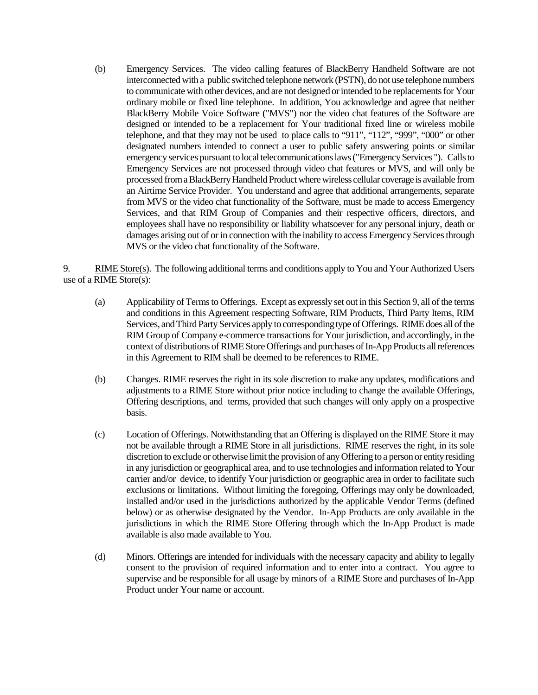(b) Emergency Services. The video calling features of BlackBerry Handheld Software are not interconnected with a public switched telephone network (PSTN), do not use telephone numbers to communicate with other devices, and are not designed or intended to be replacementsfor Your ordinary mobile or fixed line telephone. In addition, You acknowledge and agree that neither BlackBerry Mobile Voice Software ("MVS") nor the video chat features of the Software are designed or intended to be a replacement for Your traditional fixed line or wireless mobile telephone, and that they may not be used to place calls to "911", "112", "999", "000" or other designated numbers intended to connect a user to public safety answering points or similar emergency services pursuant to local telecommunications laws ("Emergency Services "). Calls to Emergency Services are not processed through video chat features or MVS, and will only be processed from a BlackBerry Handheld Product where wireless cellular coverage is available from an Airtime Service Provider. You understand and agree that additional arrangements, separate from MVS or the video chat functionality of the Software, must be made to access Emergency Services, and that RIM Group of Companies and their respective officers, directors, and employees shall have no responsibility or liability whatsoever for any personal injury, death or damages arising out of or in connection with the inability to access Emergency Services through MVS or the video chat functionality of the Software.

9. RIME Store(s).The following additional terms and conditions apply to You and Your Authorized Users use of a RIME Store(s):

- (a) Applicability of Terms to Offerings. Except as expressly set out in this Section 9, all of the terms and conditions in this Agreement respecting Software, RIM Products, Third Party Items, RIM Services, and Third Party Services apply to corresponding type of Offerings. RIME does all of the RIM Group of Company e-commerce transactions for Your jurisdiction, and accordingly, in the context of distributions of RIME Store Offerings and purchases of In-App Products allreferences in this Agreement to RIM shall be deemed to be references to RIME.
- (b) Changes. RIME reserves the right in its sole discretion to make any updates, modifications and adjustments to a RIME Store without prior notice including to change the available Offerings, Offering descriptions, and terms, provided that such changes will only apply on a prospective basis.
- (c) Location of Offerings. Notwithstanding that an Offering is displayed on the RIME Store it may not be available through a RIME Store in all jurisdictions. RIME reserves the right, in its sole discretion to exclude or otherwise limit the provision of any Offering to a person or entity residing in any jurisdiction or geographical area, and to use technologies and information related to Your carrier and/or device, to identify Your jurisdiction or geographic area in order to facilitate such exclusions or limitations. Without limiting the foregoing, Offerings may only be downloaded, installed and/or used in the jurisdictions authorized by the applicable Vendor Terms (defined below) or as otherwise designated by the Vendor. In-App Products are only available in the jurisdictions in which the RIME Store Offering through which the In-App Product is made available is also made available to You.
- (d) Minors. Offerings are intended for individuals with the necessary capacity and ability to legally consent to the provision of required information and to enter into a contract. You agree to supervise and be responsible for all usage by minors of a RIME Store and purchases of In-App Product under Your name or account.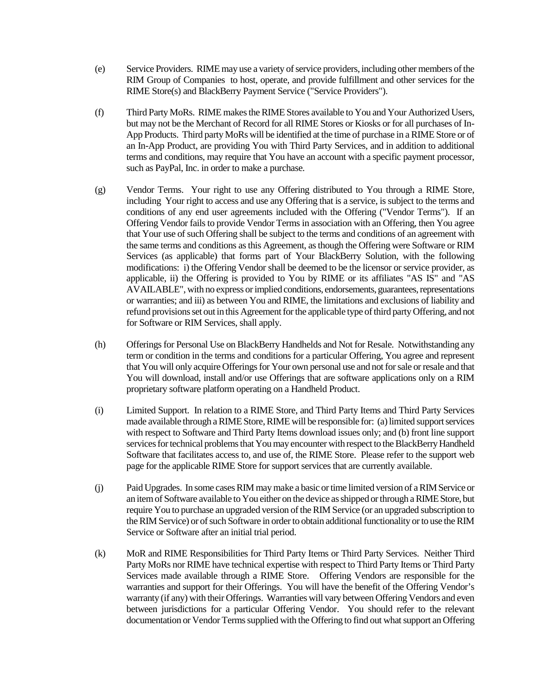- (e) Service Providers. RIME may use a variety of service providers, including other members of the RIM Group of Companies to host, operate, and provide fulfillment and other services for the RIME Store(s) and BlackBerry Payment Service ("Service Providers").
- (f) Third Party MoRs. RIME makes the RIME Stores available to You and Your Authorized Users, but may not be the Merchant of Record for all RIME Stores or Kiosks or for all purchases of In-App Products. Third party MoRs will be identified at the time of purchase in a RIME Store or of an In-App Product, are providing You with Third Party Services, and in addition to additional terms and conditions, may require that You have an account with a specific payment processor, such as PayPal, Inc. in order to make a purchase.
- (g) Vendor Terms. Your right to use any Offering distributed to You through a RIME Store, including Your right to access and use any Offering that is a service, is subject to the terms and conditions of any end user agreements included with the Offering ("Vendor Terms"). If an Offering Vendor fails to provide Vendor Terms in association with an Offering, then You agree that Your use of such Offering shall be subject to the terms and conditions of an agreement with the same terms and conditions as this Agreement, as though the Offering were Software or RIM Services (as applicable) that forms part of Your BlackBerry Solution, with the following modifications: i) the Offering Vendor shall be deemed to be the licensor or service provider, as applicable, ii) the Offering is provided to You by RIME or its affiliates "AS IS" and "AS AVAILABLE", with no express or implied conditions, endorsements, guarantees, representations or warranties; and iii) as between You and RIME, the limitations and exclusions of liability and refund provisions set out in this Agreement for the applicable type of third party Offering, and not for Software or RIM Services, shall apply.
- (h) Offerings for Personal Use on BlackBerry Handhelds and Not for Resale. Notwithstanding any term or condition in the terms and conditions for a particular Offering, You agree and represent that You will only acquire Offerings for Your own personal use and not for sale or resale and that You will download, install and/or use Offerings that are software applications only on a RIM proprietary software platform operating on a Handheld Product.
- (i) Limited Support. In relation to a RIME Store, and Third Party Items and Third Party Services made available through a RIME Store, RIME will be responsible for: (a) limited support services with respect to Software and Third Party Items download issues only; and (b) front line support services for technical problems that You may encounter with respect to the BlackBerry Handheld Software that facilitates access to, and use of, the RIME Store. Please refer to the support web page for the applicable RIME Store for support services that are currently available.
- (j) Paid Upgrades. In some cases RIM may make a basic or time limited version of aRIM Service or an item of Software available to You either on the device as shipped or through a RIME Store, but require You to purchase an upgraded version of the RIM Service (or an upgraded subscription to the RIM Service) or of such Software in order to obtain additional functionality or to use the RIM Service or Software after an initial trial period.
- (k) MoR and RIME Responsibilities for Third Party Items or Third Party Services. Neither Third Party MoRs nor RIME have technical expertise with respect to Third Party Items or Third Party Services made available through a RIME Store. Offering Vendors are responsible for the warranties and support for their Offerings. You will have the benefit of the Offering Vendor's warranty (if any) with their Offerings. Warranties will vary between Offering Vendors and even between jurisdictions for a particular Offering Vendor. You should refer to the relevant documentation or Vendor Terms supplied with the Offering to find out what support an Offering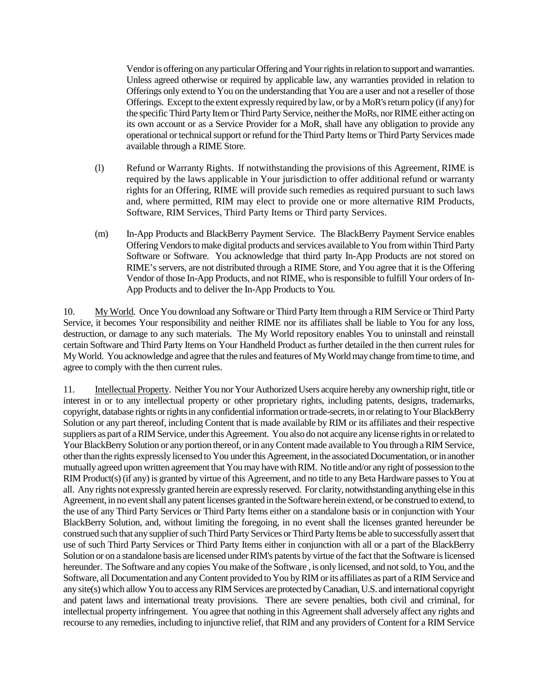Vendor is offering on any particular Offering and Your rights in relation to support and warranties. Unless agreed otherwise or required by applicable law, any warranties provided in relation to Offerings only extend to You on the understanding that You are a user and not a reseller of those Offerings. Except to the extent expressly required by law, or by aMoR's return policy (if any) for the specific Third Party Item or Third Party Service, neither the MoRs, nor RIME either acting on its own account or as a Service Provider for a MoR, shall have any obligation to provide any operational or technical support or refund for the Third Party Items or Third Party Services made available through a RIME Store.

- (l) Refund or Warranty Rights. If notwithstanding the provisions of this Agreement, RIME is required by the laws applicable in Your jurisdiction to offer additional refund or warranty rights for an Offering, RIME will provide such remedies as required pursuant to such laws and, where permitted, RIM may elect to provide one or more alternative RIM Products, Software, RIM Services, Third Party Items or Third party Services.
- (m) In-App Products and BlackBerry Payment Service. The BlackBerry Payment Service enables Offering Vendorsto make digital products and services available to You from within Third Party Software or Software. You acknowledge that third party In-App Products are not stored on RIME's servers, are not distributed through a RIME Store, and You agree that it is the Offering Vendor of those In-App Products, and not RIME, who is responsible to fulfill Your orders of In-App Products and to deliver the In-App Products to You.

10. My World. Once You download any Software or Third Party Item through a RIM Service or Third Party Service, it becomes Your responsibility and neither RIME nor its affiliates shall be liable to You for any loss, destruction, or damage to any such materials. The My World repository enables You to uninstall and reinstall certain Software and Third Party Items on Your Handheld Product as further detailed in the then current rules for My World. You acknowledge and agree that the rules and features of My World may change from time to time, and agree to comply with the then current rules.

11. Intellectual Property. Neither You nor Your AuthorizedUsers acquire hereby any ownership right, title or interest in or to any intellectual property or other proprietary rights, including patents, designs, trademarks, copyright, database rights or rights in any confidential information or trade-secrets, in or relating to Your BlackBerry Solution or any part thereof, including Content that is made available by RIM or its affiliates and their respective suppliers as part of a RIM Service, under this Agreement. You also do not acquire any license rights in or related to Your BlackBerry Solution or any portion thereof, or in any Content made available to You through a RIM Service, other than the rights expressly licensed to You under this Agreement, in the associated Documentation, or in another mutually agreed upon written agreement that You may have with RIM. No title and/or any right of possession to the RIM Product(s) (if any) is granted by virtue of this Agreement, and no title to any Beta Hardware passes to You at all. Any rights not expressly granted herein are expressly reserved. For clarity, notwithstanding anything else in this Agreement, in no event shall any patent licenses granted in the Software herein extend, or be construed to extend, to the use of any Third Party Services or Third Party Items either on a standalone basis or in conjunction with Your BlackBerry Solution, and, without limiting the foregoing, in no event shall the licenses granted hereunder be construed such that any supplier of such Third Party Services or Third Party Items be able to successfully assert that use of such Third Party Services or Third Party Items either in conjunction with all or a part of the BlackBerry Solution or on a standalone basis are licensed under RIM's patents by virtue of the fact that the Software is licensed hereunder. The Software and any copies You make of the Software , is only licensed, and not sold, to You, and the Software, all Documentation and any Content provided to You by RIM or its affiliates as part of a RIM Service and any site(s) which allow You to access any RIM Services are protected by Canadian, U.S. and international copyright and patent laws and international treaty provisions. There are severe penalties, both civil and criminal, for intellectual property infringement. You agree that nothing in this Agreement shall adversely affect any rights and recourse to any remedies, including to injunctive relief, that RIM and any providers of Content for a RIM Service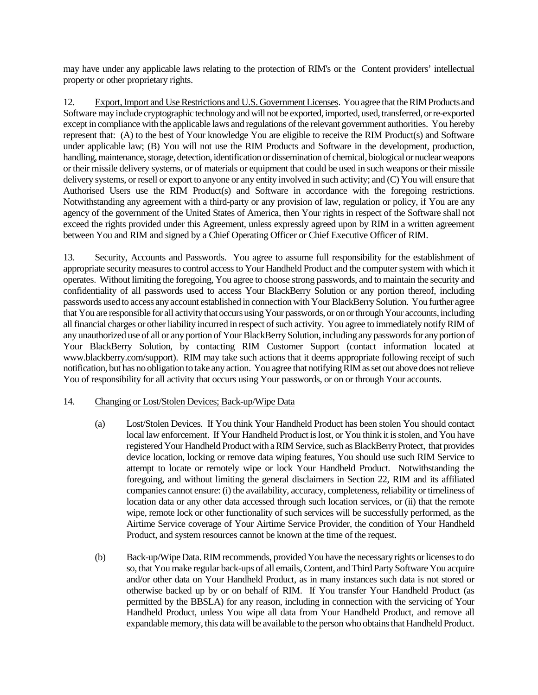may have under any applicable laws relating to the protection of RIM's or the Content providers' intellectual property or other proprietary rights.

12. Export, Import and Use Restrictions and U.S. Government Licenses. You agree that the RIM Products and Software may include cryptographic technology and will not be exported, imported, used, transferred, or re-exported except in compliance with the applicable laws and regulations of the relevant government authorities. You hereby represent that: (A) to the best of Your knowledge You are eligible to receive the RIM Product(s) and Software under applicable law; (B) You will not use the RIM Products and Software in the development, production, handling, maintenance, storage, detection, identification or dissemination of chemical, biological or nuclear weapons or their missile delivery systems, or of materials or equipment that could be used in such weapons or their missile delivery systems, or resell or export to anyone or any entity involved in such activity; and (C) You will ensure that Authorised Users use the RIM Product(s) and Software in accordance with the foregoing restrictions. Notwithstanding any agreement with a third-party or any provision of law, regulation or policy, if You are any agency of the government of the United States of America, then Your rights in respect of the Software shall not exceed the rights provided under this Agreement, unless expressly agreed upon by RIM in a written agreement between You and RIM and signed by a Chief Operating Officer or Chief Executive Officer of RIM.

13. Security, Accounts and Passwords. You agree to assume full responsibility for the establishment of appropriate security measures to control access to Your Handheld Product and the computer system with which it operates. Without limiting the foregoing, You agree to choose strong passwords, and to maintain the security and confidentiality of all passwords used to access Your BlackBerry Solution or any portion thereof, including passwords used to access any account established in connection with Your BlackBerry Solution. You further agree that You are responsible for all activity that occurs using Your passwords, or on or through Your accounts, including all financial charges or other liability incurred in respect of such activity. You agree to immediately notify RIM of any unauthorized use of all or any portion of Your BlackBerry Solution, including any passwords for any portion of Your BlackBerry Solution, by contacting RIM Customer Support (contact information located at www.blackberry.com/support). RIM may take such actions that it deems appropriate following receipt of such notification, but has no obligation to take any action. You agree that notifying RIM as set out above does not relieve You of responsibility for all activity that occurs using Your passwords, or on or through Your accounts.

# 14. Changing or Lost/Stolen Devices; Back-up/Wipe Data

- (a) Lost/Stolen Devices. If You think Your Handheld Product has been stolen You should contact local law enforcement. If Your Handheld Product is lost, or You think it is stolen, and You have registered Your Handheld Product with a RIM Service, such as BlackBerry Protect, that provides device location, locking or remove data wiping features, You should use such RIM Service to attempt to locate or remotely wipe or lock Your Handheld Product. Notwithstanding the foregoing, and without limiting the general disclaimers in Section 22, RIM and its affiliated companies cannot ensure: (i) the availability, accuracy, completeness, reliability or timeliness of location data or any other data accessed through such location services, or (ii) that the remote wipe, remote lock or other functionality of such services will be successfully performed, as the Airtime Service coverage of Your Airtime Service Provider, the condition of Your Handheld Product, and system resources cannot be known at the time of the request.
- (b) Back-up/Wipe Data. RIM recommends, provided You have the necessary rights or licenses to do so, that You make regular back-ups of all emails, Content, and Third Party Software You acquire and/or other data on Your Handheld Product, as in many instances such data is not stored or otherwise backed up by or on behalf of RIM. If You transfer Your Handheld Product (as permitted by the BBSLA) for any reason, including in connection with the servicing of Your Handheld Product, unless You wipe all data from Your Handheld Product, and remove all expandable memory, this data will be available to the person who obtains that Handheld Product.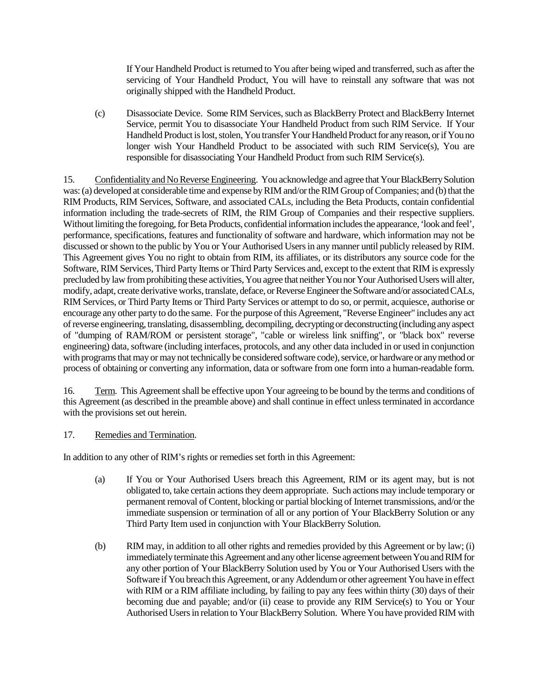If Your Handheld Product is returned to You after being wiped and transferred, such as after the servicing of Your Handheld Product, You will have to reinstall any software that was not originally shipped with the Handheld Product.

(c) Disassociate Device. Some RIM Services, such as BlackBerry Protect and BlackBerry Internet Service, permit You to disassociate Your Handheld Product from such RIM Service. If Your Handheld Product is lost, stolen, You transfer Your Handheld Product for any reason, or if You no longer wish Your Handheld Product to be associated with such RIM Service(s), You are responsible for disassociating Your Handheld Product from such RIM Service(s).

15. Confidentiality and No Reverse Engineering. You acknowledge and agree that YourBlackBerry Solution was: (a) developed at considerable time and expense by RIM and/or the RIM Group of Companies; and (b) that the RIM Products, RIM Services, Software, and associated CALs, including the Beta Products, contain confidential information including the trade-secrets of RIM, the RIM Group of Companies and their respective suppliers. Without limiting the foregoing, for Beta Products, confidential information includes the appearance, 'look and feel', performance, specifications, features and functionality of software and hardware, which information may not be discussed or shown to the public by You or Your Authorised Users in any manner until publicly released by RIM. This Agreement gives You no right to obtain from RIM, its affiliates, or its distributors any source code for the Software, RIM Services, Third Party Items or Third Party Services and, except to the extent that RIM is expressly precluded by law from prohibiting these activities, You agree that neither You nor Your Authorised Users will alter, modify, adapt, create derivative works, translate, deface, or Reverse Engineer the Software and/or associated CALs, RIM Services, or Third Party Items or Third Party Services or attempt to do so, or permit, acquiesce, authorise or encourage any other party to do the same. For the purpose of this Agreement, "Reverse Engineer" includes any act of reverse engineering, translating, disassembling, decompiling, decrypting or deconstructing (including any aspect of "dumping of RAM/ROM or persistent storage", "cable or wireless link sniffing", or "black box" reverse engineering) data, software (including interfaces, protocols, and any other data included in or used in conjunction with programs that may or may not technically be considered software code), service, or hardware or any method or process of obtaining or converting any information, data or software from one form into a human-readable form.

16. Term. This Agreement shall be effective upon Your agreeing to be bound by the terms and conditions of this Agreement (as described in the preamble above) and shall continue in effect unless terminated in accordance with the provisions set out herein.

### 17. Remedies and Termination.

In addition to any other of RIM's rights or remedies set forth in this Agreement:

- (a) If You or Your Authorised Users breach this Agreement, RIM or its agent may, but is not obligated to, take certain actions they deem appropriate. Such actions may include temporary or permanent removal of Content, blocking or partial blocking of Internet transmissions, and/or the immediate suspension or termination of all or any portion of Your BlackBerry Solution or any Third Party Item used in conjunction with Your BlackBerry Solution.
- (b) RIM may, in addition to all other rights and remedies provided by this Agreement or by law; (i) immediately terminate this Agreement and any other license agreement between You and RIM for any other portion of Your BlackBerry Solution used by You or Your Authorised Users with the Software if You breach this Agreement, or any Addendum or other agreement You have in effect with RIM or a RIM affiliate including, by failing to pay any fees within thirty (30) days of their becoming due and payable; and/or (ii) cease to provide any RIM Service(s) to You or Your Authorised Users in relation to Your BlackBerry Solution. Where You have provided RIM with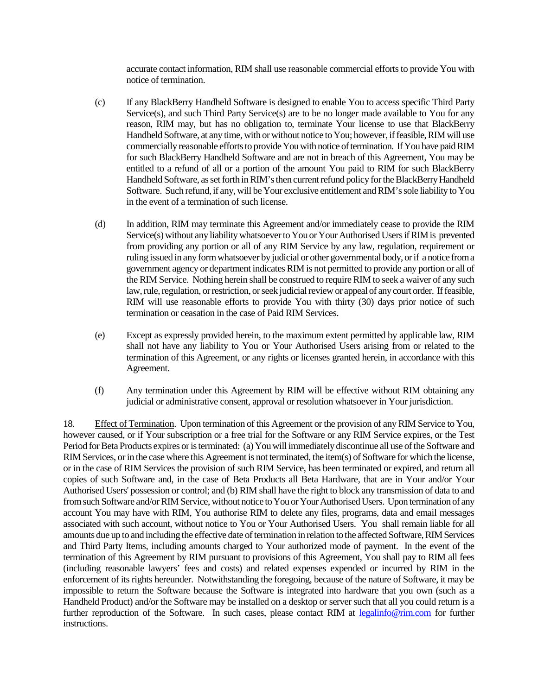accurate contact information, RIM shall use reasonable commercial efforts to provide You with notice of termination.

- (c) If any BlackBerry Handheld Software is designed to enable You to access specific Third Party Service(s), and such Third Party Service(s) are to be no longer made available to You for any reason, RIM may, but has no obligation to, terminate Your license to use that BlackBerry Handheld Software, at any time, with or without notice to You; however, if feasible, RIM will use commercially reasonable efforts to provide You with notice of termination. If You have paid RIM for such BlackBerry Handheld Software and are not in breach of this Agreement, You may be entitled to a refund of all or a portion of the amount You paid to RIM for such BlackBerry Handheld Software, as set forth in RIM's then current refund policy for the BlackBerry Handheld Software. Such refund, if any, will be Your exclusive entitlement and RIM's sole liability to You in the event of a termination of such license.
- (d) In addition, RIM may terminate this Agreement and/or immediately cease to provide the RIM Service(s) without any liability whatsoever to You or Your Authorised Users if RIM is prevented from providing any portion or all of any RIM Service by any law, regulation, requirement or ruling issued in any form whatsoever by judicial or other governmental body, or if a notice from a government agency or department indicates RIM is not permitted to provide any portion or all of the RIM Service. Nothing herein shall be construed to require RIM to seek a waiver of any such law, rule, regulation, or restriction, or seek judicial review or appeal of any court order. If feasible, RIM will use reasonable efforts to provide You with thirty (30) days prior notice of such termination or ceasation in the case of Paid RIM Services.
- (e) Except as expressly provided herein, to the maximum extent permitted by applicable law, RIM shall not have any liability to You or Your Authorised Users arising from or related to the termination of this Agreement, or any rights or licenses granted herein, in accordance with this Agreement.
- (f) Any termination under this Agreement by RIM will be effective without RIM obtaining any judicial or administrative consent, approval or resolution whatsoever in Your jurisdiction.

18. Effect of Termination. Upon termination of this Agreement or the provision of any RIM Service to You, however caused, or if Your subscription or a free trial for the Software or any RIM Service expires, or the Test Period for Beta Products expires or is terminated: (a) You will immediately discontinue all use of the Software and RIM Services, or in the case where this Agreement is not terminated, the item(s) of Software for which the license, or in the case of RIM Services the provision of such RIM Service, has been terminated or expired, and return all copies of such Software and, in the case of Beta Products all Beta Hardware, that are in Your and/or Your Authorised Users' possession or control; and (b) RIM shall have the right to block any transmission of data to and from such Software and/or RIM Service, without notice to You or Your Authorised Users. Upon termination of any account You may have with RIM, You authorise RIM to delete any files, programs, data and email messages associated with such account, without notice to You or Your Authorised Users. You shall remain liable for all amounts due up to and including the effective date of termination in relation to the affected Software, RIM Services and Third Party Items, including amounts charged to Your authorized mode of payment. In the event of the termination of this Agreement by RIM pursuant to provisions of this Agreement, You shall pay to RIM all fees (including reasonable lawyers' fees and costs) and related expenses expended or incurred by RIM in the enforcement of its rights hereunder. Notwithstanding the foregoing, because of the nature of Software, it may be impossible to return the Software because the Software is integrated into hardware that you own (such as a Handheld Product) and/or the Software may be installed on a desktop or server such that all you could return is a further reproduction of the Software. In such cases, please contact RIM at legalinfo@rim.com for further instructions.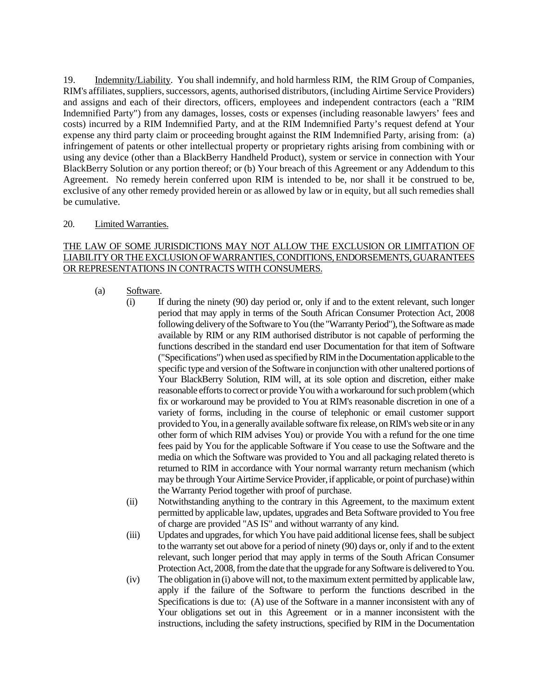19. Indemnity/Liability. You shall indemnify, and hold harmless RIM, the RIM Group of Companies, RIM's affiliates, suppliers, successors, agents, authorised distributors, (including Airtime Service Providers) and assigns and each of their directors, officers, employees and independent contractors (each a "RIM Indemnified Party") from any damages, losses, costs or expenses (including reasonable lawyers' fees and costs) incurred by a RIM Indemnified Party, and at the RIM Indemnified Party's request defend at Your expense any third party claim or proceeding brought against the RIM Indemnified Party, arising from: (a) infringement of patents or other intellectual property or proprietary rights arising from combining with or using any device (other than a BlackBerry Handheld Product), system or service in connection with Your BlackBerry Solution or any portion thereof; or (b) Your breach of this Agreement or any Addendum to this Agreement. No remedy herein conferred upon RIM is intended to be, nor shall it be construed to be, exclusive of any other remedy provided herein or as allowed by law or in equity, but all such remedies shall be cumulative.

### 20. Limited Warranties.

# THE LAW OF SOME JURISDICTIONS MAY NOT ALLOW THE EXCLUSION OR LIMITATION OF LIABILITY OR THE EXCLUSION OF WARRANTIES, CONDITIONS, ENDORSEMENTS, GUARANTEES OR REPRESENTATIONS IN CONTRACTS WITH CONSUMERS.

# (a) Software.

- (i) If during the ninety (90) day period or, only if and to the extent relevant, such longer period that may apply in terms of the South African Consumer Protection Act, 2008 following delivery of the Software to You (the "Warranty Period"), the Software as made available by RIM or any RIM authorised distributor is not capable of performing the functions described in the standard end user Documentation for that item of Software ("Specifications") when used as specified by RIM in the Documentation applicable to the specific type and version of the Software in conjunction with other unaltered portions of Your BlackBerry Solution, RIM will, at its sole option and discretion, either make reasonable efforts to correct or provide You with a workaround for such problem (which fix or workaround may be provided to You at RIM's reasonable discretion in one of a variety of forms, including in the course of telephonic or email customer support provided to You, in a generally available software fix release, on RIM's web site or in any other form of which RIM advises You) or provide You with a refund for the one time fees paid by You for the applicable Software if You cease to use the Software and the media on which the Software was provided to You and all packaging related thereto is returned to RIM in accordance with Your normal warranty return mechanism (which may be through Your Airtime Service Provider, if applicable, or point of purchase) within the Warranty Period together with proof of purchase.
- (ii) Notwithstanding anything to the contrary in this Agreement, to the maximum extent permitted by applicable law, updates, upgrades and Beta Software provided to You free of charge are provided "AS IS" and without warranty of any kind.
- (iii) Updates and upgrades, for which You have paid additional license fees, shall be subject to the warranty set out above for a period of ninety (90) days or, only if and to the extent relevant, such longer period that may apply in terms of the South African Consumer Protection Act, 2008, from the date that the upgrade for any Software is delivered to You.
- (iv) The obligation in (i) above will not, to the maximum extent permitted by applicable law, apply if the failure of the Software to perform the functions described in the Specifications is due to: (A) use of the Software in a manner inconsistent with any of Your obligations set out in this Agreement or in a manner inconsistent with the instructions, including the safety instructions, specified by RIM in the Documentation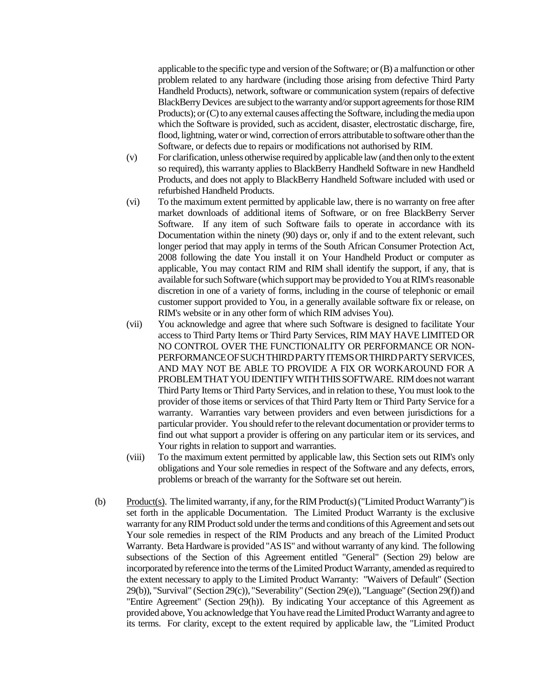applicable to the specific type and version of the Software; or (B) a malfunction or other problem related to any hardware (including those arising from defective Third Party Handheld Products), network, software or communication system (repairs of defective BlackBerry Devices are subject to the warranty and/or support agreements for those RIM Products); or (C) to any external causes affecting the Software, including the media upon which the Software is provided, such as accident, disaster, electrostatic discharge, fire, flood, lightning, water or wind, correction of errors attributable to software other than the Software, or defects due to repairs or modifications not authorised by RIM.

- (v) For clarification, unless otherwise required by applicable law (and then only to the extent so required), this warranty applies to BlackBerry Handheld Software in new Handheld Products, and does not apply to BlackBerry Handheld Software included with used or refurbished Handheld Products.
- (vi) To the maximum extent permitted by applicable law, there is no warranty on free after market downloads of additional items of Software, or on free BlackBerry Server Software. If any item of such Software fails to operate in accordance with its Documentation within the ninety (90) days or, only if and to the extent relevant, such longer period that may apply in terms of the South African Consumer Protection Act, 2008 following the date You install it on Your Handheld Product or computer as applicable, You may contact RIM and RIM shall identify the support, if any, that is available for such Software (which support may be provided to You at RIM's reasonable discretion in one of a variety of forms, including in the course of telephonic or email customer support provided to You, in a generally available software fix or release, on RIM's website or in any other form of which RIM advises You).
- (vii) You acknowledge and agree that where such Software is designed to facilitate Your access to Third Party Items or Third Party Services, RIM MAY HAVE LIMITED OR NO CONTROL OVER THE FUNCTIONALITY OR PERFORMANCE OR NON-PERFORMANCE OF SUCH THIRD PARTY ITEMS OR THIRD PARTY SERVICES, AND MAY NOT BE ABLE TO PROVIDE A FIX OR WORKAROUND FOR A PROBLEM THAT YOU IDENTIFY WITH THIS SOFTWARE. RIM does not warrant Third Party Items or Third Party Services, and in relation to these, You must look to the provider of those items or services of that Third Party Item or Third Party Service for a warranty. Warranties vary between providers and even between jurisdictions for a particular provider. You should refer to the relevant documentation or provider terms to find out what support a provider is offering on any particular item or its services, and Your rights in relation to support and warranties.
- (viii) To the maximum extent permitted by applicable law, this Section sets out RIM's only obligations and Your sole remedies in respect of the Software and any defects, errors, problems or breach of the warranty for the Software set out herein.
- (b) Product(s). The limited warranty, if any, for the RIM Product(s) ("Limited Product Warranty") is set forth in the applicable Documentation. The Limited Product Warranty is the exclusive warranty for any RIM Product sold under the terms and conditions of this Agreement and sets out Your sole remedies in respect of the RIM Products and any breach of the Limited Product Warranty. Beta Hardware is provided "AS IS" and without warranty of any kind. The following subsections of the Section of this Agreement entitled "General" (Section 29) below are incorporated by reference into the terms of the Limited Product Warranty, amended as required to the extent necessary to apply to the Limited Product Warranty: "Waivers of Default" (Section 29(b)), "Survival" (Section 29(c)), "Severability" (Section 29(e)), "Language" (Section 29(f)) and "Entire Agreement" (Section 29(h)). By indicating Your acceptance of this Agreement as provided above, You acknowledge that You have read the Limited Product Warranty and agree to its terms. For clarity, except to the extent required by applicable law, the "Limited Product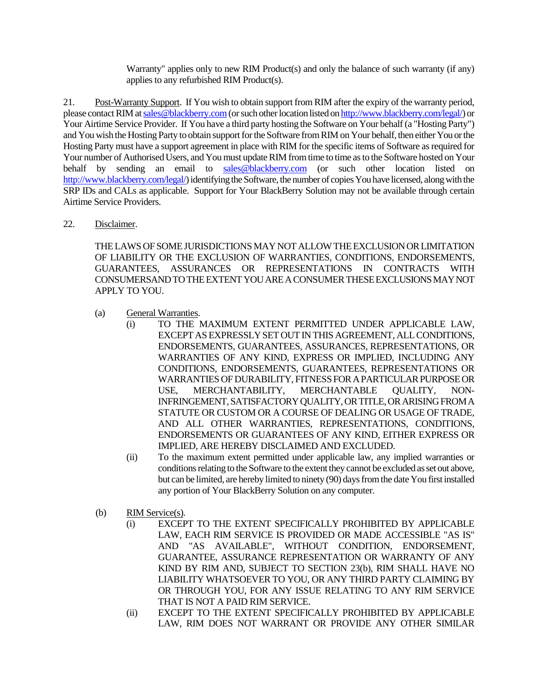Warranty" applies only to new RIM Product(s) and only the balance of such warranty (if any) applies to any refurbished RIM Product(s).

21. Post-Warranty Support. If You wish to obtain support from RIM after the expiry of the warranty period, please contact RIM at sales@blackberry.com(or such other location listed on http://www.blackberry.com/legal/) or Your Airtime Service Provider. If You have a third party hosting the Software on Your behalf (a "Hosting Party") and You wish the Hosting Party to obtain support for the Software from RIM on Your behalf, then either You or the Hosting Party must have a support agreement in place with RIM for the specific items of Software as required for Your number of Authorised Users, and You must update RIM from time to time as to the Software hosted on Your behalf by sending an email to sales@blackberry.com (or such other location listed on http://www.blackberry.com/legal/) identifying the Software, the number of copies You have licensed, along with the SRP IDs and CALs as applicable. Support for Your BlackBerry Solution may not be available through certain Airtime Service Providers.

# 22. Disclaimer.

THE LAWS OF SOME JURISDICTIONS MAY NOT ALLOW THE EXCLUSION OR LIMITATION OF LIABILITY OR THE EXCLUSION OF WARRANTIES, CONDITIONS, ENDORSEMENTS, GUARANTEES, ASSURANCES OR REPRESENTATIONS IN CONTRACTS WITH CONSUMERSAND TO THE EXTENT YOU ARE A CONSUMER THESE EXCLUSIONS MAY NOT APPLY TO YOU.

- (a) General Warranties.
	- (i) TO THE MAXIMUM EXTENT PERMITTED UNDER APPLICABLE LAW, EXCEPT AS EXPRESSLY SET OUT IN THIS AGREEMENT, ALL CONDITIONS, ENDORSEMENTS, GUARANTEES, ASSURANCES, REPRESENTATIONS, OR WARRANTIES OF ANY KIND, EXPRESS OR IMPLIED, INCLUDING ANY CONDITIONS, ENDORSEMENTS, GUARANTEES, REPRESENTATIONS OR WARRANTIES OF DURABILITY, FITNESS FOR A PARTICULAR PURPOSE OR USE, MERCHANTABILITY, MERCHANTABLE QUALITY, NON-INFRINGEMENT, SATISFACTORY QUALITY, OR TITLE, OR ARISING FROM A STATUTE OR CUSTOM OR A COURSE OF DEALING OR USAGE OF TRADE, AND ALL OTHER WARRANTIES, REPRESENTATIONS, CONDITIONS, ENDORSEMENTS OR GUARANTEES OF ANY KIND, EITHER EXPRESS OR IMPLIED, ARE HEREBY DISCLAIMED AND EXCLUDED.
	- (ii) To the maximum extent permitted under applicable law, any implied warranties or conditions relating to the Software to the extent they cannot be excluded as set out above, but can be limited, are hereby limited to ninety (90) days from the date You first installed any portion of Your BlackBerry Solution on any computer.
- (b) RIM Service(s).
	- (i) EXCEPT TO THE EXTENT SPECIFICALLY PROHIBITED BY APPLICABLE LAW, EACH RIM SERVICE IS PROVIDED OR MADE ACCESSIBLE "AS IS" AND "AS AVAILABLE", WITHOUT CONDITION, ENDORSEMENT, GUARANTEE, ASSURANCE REPRESENTATION OR WARRANTY OF ANY KIND BY RIM AND, SUBJECT TO SECTION 23(b), RIM SHALL HAVE NO LIABILITY WHATSOEVER TO YOU, OR ANY THIRD PARTY CLAIMING BY OR THROUGH YOU, FOR ANY ISSUE RELATING TO ANY RIM SERVICE THAT IS NOT A PAID RIM SERVICE.
	- (ii) EXCEPT TO THE EXTENT SPECIFICALLY PROHIBITED BY APPLICABLE LAW, RIM DOES NOT WARRANT OR PROVIDE ANY OTHER SIMILAR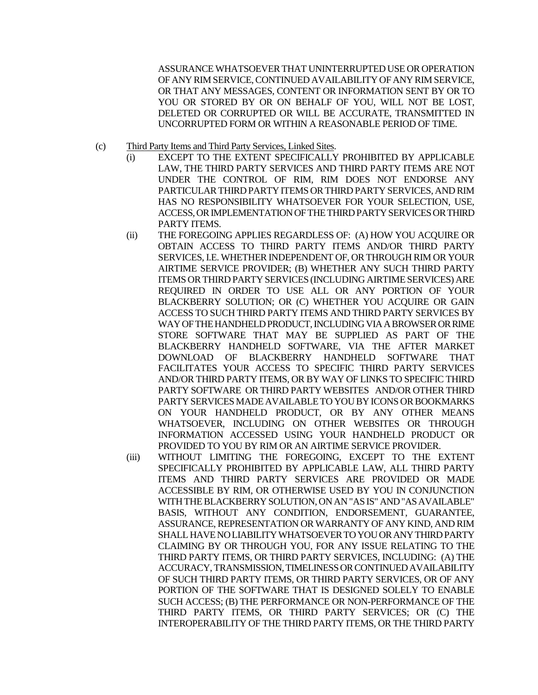ASSURANCE WHATSOEVER THAT UNINTERRUPTED USE OR OPERATION OF ANY RIM SERVICE, CONTINUED AVAILABILITY OF ANY RIM SERVICE, OR THAT ANY MESSAGES, CONTENT OR INFORMATION SENT BY OR TO YOU OR STORED BY OR ON BEHALF OF YOU, WILL NOT BE LOST, DELETED OR CORRUPTED OR WILL BE ACCURATE, TRANSMITTED IN UNCORRUPTED FORM OR WITHIN A REASONABLE PERIOD OF TIME.

- (c) Third Party Items and Third Party Services, Linked Sites.
	- (i) EXCEPT TO THE EXTENT SPECIFICALLY PROHIBITED BY APPLICABLE LAW, THE THIRD PARTY SERVICES AND THIRD PARTY ITEMS ARE NOT UNDER THE CONTROL OF RIM, RIM DOES NOT ENDORSE ANY PARTICULAR THIRD PARTY ITEMS OR THIRD PARTY SERVICES, AND RIM HAS NO RESPONSIBILITY WHATSOEVER FOR YOUR SELECTION, USE, ACCESS, OR IMPLEMENTATION OF THE THIRD PARTY SERVICES OR THIRD PARTY ITEMS.
	- (ii) THE FOREGOING APPLIES REGARDLESS OF: (A) HOW YOU ACQUIRE OR OBTAIN ACCESS TO THIRD PARTY ITEMS AND/OR THIRD PARTY SERVICES, I.E. WHETHER INDEPENDENT OF, OR THROUGH RIM OR YOUR AIRTIME SERVICE PROVIDER; (B) WHETHER ANY SUCH THIRD PARTY ITEMS OR THIRD PARTY SERVICES (INCLUDING AIRTIME SERVICES) ARE REQUIRED IN ORDER TO USE ALL OR ANY PORTION OF YOUR BLACKBERRY SOLUTION; OR (C) WHETHER YOU ACQUIRE OR GAIN ACCESS TO SUCH THIRD PARTY ITEMS AND THIRD PARTY SERVICES BY WAY OF THE HANDHELD PRODUCT, INCLUDING VIA A BROWSER OR RIME STORE SOFTWARE THAT MAY BE SUPPLIED AS PART OF THE BLACKBERRY HANDHELD SOFTWARE, VIA THE AFTER MARKET DOWNLOAD OF BLACKBERRY HANDHELD SOFTWARE THAT FACILITATES YOUR ACCESS TO SPECIFIC THIRD PARTY SERVICES AND/OR THIRD PARTY ITEMS, OR BY WAY OF LINKS TO SPECIFIC THIRD PARTY SOFTWARE OR THIRD PARTY WEBSITES AND/OR OTHER THIRD PARTY SERVICES MADE AVAILABLE TO YOU BY ICONS OR BOOKMARKS ON YOUR HANDHELD PRODUCT, OR BY ANY OTHER MEANS WHATSOEVER, INCLUDING ON OTHER WEBSITES OR THROUGH INFORMATION ACCESSED USING YOUR HANDHELD PRODUCT OR PROVIDED TO YOU BY RIM OR AN AIRTIME SERVICE PROVIDER.
	- (iii) WITHOUT LIMITING THE FOREGOING, EXCEPT TO THE EXTENT SPECIFICALLY PROHIBITED BY APPLICABLE LAW, ALL THIRD PARTY ITEMS AND THIRD PARTY SERVICES ARE PROVIDED OR MADE ACCESSIBLE BY RIM, OR OTHERWISE USED BY YOU IN CONJUNCTION WITH THE BLACKBERRY SOLUTION, ON AN "AS IS" AND "AS AVAILABLE" BASIS, WITHOUT ANY CONDITION, ENDORSEMENT, GUARANTEE, ASSURANCE, REPRESENTATION OR WARRANTY OF ANY KIND, AND RIM SHALL HAVE NO LIABILITY WHATSOEVER TO YOU OR ANY THIRD PARTY CLAIMING BY OR THROUGH YOU, FOR ANY ISSUE RELATING TO THE THIRD PARTY ITEMS, OR THIRD PARTY SERVICES, INCLUDING: (A) THE ACCURACY, TRANSMISSION, TIMELINESS OR CONTINUED AVAILABILITY OF SUCH THIRD PARTY ITEMS, OR THIRD PARTY SERVICES, OR OF ANY PORTION OF THE SOFTWARE THAT IS DESIGNED SOLELY TO ENABLE SUCH ACCESS; (B) THE PERFORMANCE OR NON-PERFORMANCE OF THE THIRD PARTY ITEMS, OR THIRD PARTY SERVICES; OR (C) THE INTEROPERABILITY OF THE THIRD PARTY ITEMS, OR THE THIRD PARTY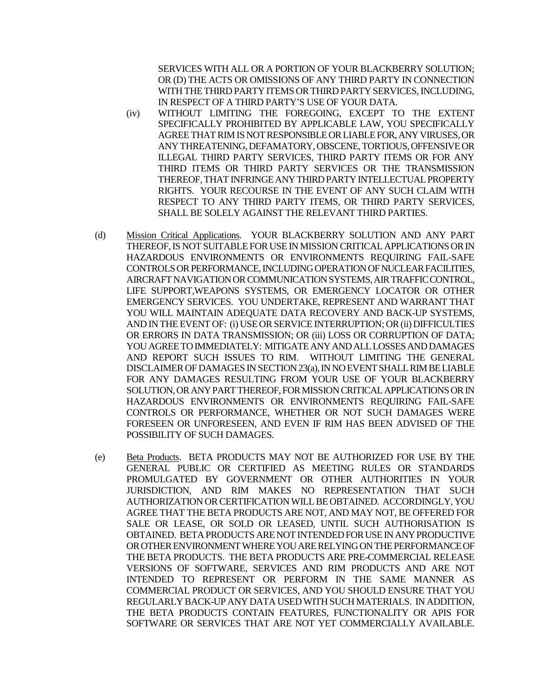SERVICES WITH ALL OR A PORTION OF YOUR BLACKBERRY SOLUTION; OR (D) THE ACTS OR OMISSIONS OF ANY THIRD PARTY IN CONNECTION WITH THE THIRD PARTY ITEMS OR THIRD PARTY SERVICES, INCLUDING, IN RESPECT OF A THIRD PARTY'S USE OF YOUR DATA.

- (iv) WITHOUT LIMITING THE FOREGOING, EXCEPT TO THE EXTENT SPECIFICALLY PROHIBITED BY APPLICABLE LAW, YOU SPECIFICALLY AGREE THAT RIM IS NOT RESPONSIBLE OR LIABLE FOR, ANY VIRUSES, OR ANY THREATENING, DEFAMATORY, OBSCENE, TORTIOUS, OFFENSIVE OR ILLEGAL THIRD PARTY SERVICES, THIRD PARTY ITEMS OR FOR ANY THIRD ITEMS OR THIRD PARTY SERVICES OR THE TRANSMISSION THEREOF, THAT INFRINGE ANY THIRD PARTY INTELLECTUAL PROPERTY RIGHTS. YOUR RECOURSE IN THE EVENT OF ANY SUCH CLAIM WITH RESPECT TO ANY THIRD PARTY ITEMS, OR THIRD PARTY SERVICES, SHALL BE SOLELY AGAINST THE RELEVANT THIRD PARTIES.
- (d) Mission Critical Applications. YOUR BLACKBERRY SOLUTION AND ANY PART THEREOF, IS NOT SUITABLE FOR USE IN MISSION CRITICAL APPLICATIONS OR IN HAZARDOUS ENVIRONMENTS OR ENVIRONMENTS REQUIRING FAIL-SAFE CONTROLSOR PERFORMANCE, INCLUDINGOPERATION OF NUCLEAR FACILITIES, AIRCRAFT NAVIGATION OR COMMUNICATION SYSTEMS, AIR TRAFFIC CONTROL, LIFE SUPPORT,WEAPONS SYSTEMS, OR EMERGENCY LOCATOR OR OTHER EMERGENCY SERVICES. YOU UNDERTAKE, REPRESENT AND WARRANT THAT YOU WILL MAINTAIN ADEQUATE DATA RECOVERY AND BACK-UP SYSTEMS, AND IN THE EVENT OF: (i) USE OR SERVICE INTERRUPTION; OR (ii) DIFFICULTIES OR ERRORS IN DATA TRANSMISSION; OR (iii) LOSS OR CORRUPTION OF DATA; YOU AGREE TO IMMEDIATELY: MITIGATE ANY ANDALL LOSSES AND DAMAGES AND REPORT SUCH ISSUES TO RIM. WITHOUT LIMITING THE GENERAL DISCLAIMER OF DAMAGES IN SECTION 23(a), IN NO EVENT SHALL RIM BE LIABLE FOR ANY DAMAGES RESULTING FROM YOUR USE OF YOUR BLACKBERRY SOLUTION, OR ANY PART THEREOF, FOR MISSION CRITICAL APPLICATIONS OR IN HAZARDOUS ENVIRONMENTS OR ENVIRONMENTS REQUIRING FAIL-SAFE CONTROLS OR PERFORMANCE, WHETHER OR NOT SUCH DAMAGES WERE FORESEEN OR UNFORESEEN, AND EVEN IF RIM HAS BEEN ADVISED OF THE POSSIBILITY OF SUCH DAMAGES.
- (e) Beta Products. BETA PRODUCTS MAY NOT BE AUTHORIZED FOR USE BY THE GENERAL PUBLIC OR CERTIFIED AS MEETING RULES OR STANDARDS PROMULGATED BY GOVERNMENT OR OTHER AUTHORITIES IN YOUR JURISDICTION, AND RIM MAKES NO REPRESENTATION THAT SUCH AUTHORIZATION OR CERTIFICATION WILL BE OBTAINED. ACCORDINGLY, YOU AGREE THAT THE BETA PRODUCTS ARE NOT, AND MAY NOT, BE OFFERED FOR SALE OR LEASE, OR SOLD OR LEASED, UNTIL SUCH AUTHORISATION IS OBTAINED. BETA PRODUCTS ARE NOT INTENDED FOR USE IN ANY PRODUCTIVE OR OTHER ENVIRONMENT WHERE YOU ARE RELYING ON THE PERFORMANCE OF THE BETA PRODUCTS. THE BETA PRODUCTS ARE PRE-COMMERCIAL RELEASE VERSIONS OF SOFTWARE, SERVICES AND RIM PRODUCTS AND ARE NOT INTENDED TO REPRESENT OR PERFORM IN THE SAME MANNER AS COMMERCIAL PRODUCT OR SERVICES, AND YOU SHOULD ENSURE THAT YOU REGULARLY BACK-UP ANY DATA USED WITH SUCH MATERIALS. IN ADDITION, THE BETA PRODUCTS CONTAIN FEATURES, FUNCTIONALITY OR APIS FOR SOFTWARE OR SERVICES THAT ARE NOT YET COMMERCIALLY AVAILABLE.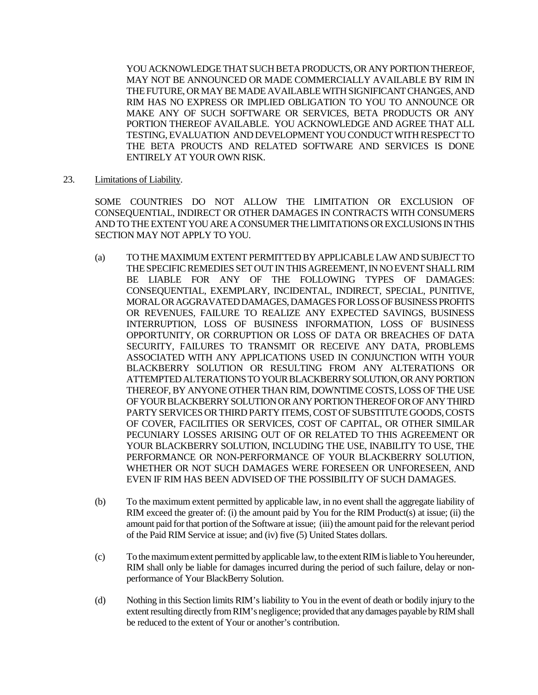YOU ACKNOWLEDGE THAT SUCH BETA PRODUCTS, OR ANY PORTION THEREOF, MAY NOT BE ANNOUNCED OR MADE COMMERCIALLY AVAILABLE BY RIM IN THE FUTURE, OR MAY BE MADE AVAILABLE WITH SIGNIFICANT CHANGES, AND RIM HAS NO EXPRESS OR IMPLIED OBLIGATION TO YOU TO ANNOUNCE OR MAKE ANY OF SUCH SOFTWARE OR SERVICES, BETA PRODUCTS OR ANY PORTION THEREOF AVAILABLE. YOU ACKNOWLEDGE AND AGREE THAT ALL TESTING, EVALUATION AND DEVELOPMENT YOU CONDUCT WITH RESPECTTO THE BETA PROUCTS AND RELATED SOFTWARE AND SERVICES IS DONE ENTIRELY AT YOUR OWN RISK.

23. Limitations of Liability.

SOME COUNTRIES DO NOT ALLOW THE LIMITATION OR EXCLUSION OF CONSEQUENTIAL, INDIRECT OR OTHER DAMAGES IN CONTRACTS WITH CONSUMERS AND TO THE EXTENT YOU ARE A CONSUMER THE LIMITATIONS OR EXCLUSIONS IN THIS SECTION MAY NOT APPLY TO YOU.

- (a) TO THE MAXIMUM EXTENT PERMITTED BY APPLICABLE LAW AND SUBJECT TO THE SPECIFIC REMEDIES SET OUT IN THIS AGREEMENT, IN NO EVENT SHALL RIM BE LIABLE FOR ANY OF THE FOLLOWING TYPES OF DAMAGES: CONSEQUENTIAL, EXEMPLARY, INCIDENTAL, INDIRECT, SPECIAL, PUNITIVE, MORAL OR AGGRAVATED DAMAGES, DAMAGES FOR LOSS OF BUSINESS PROFITS OR REVENUES, FAILURE TO REALIZE ANY EXPECTED SAVINGS, BUSINESS INTERRUPTION, LOSS OF BUSINESS INFORMATION, LOSS OF BUSINESS OPPORTUNITY, OR CORRUPTION OR LOSS OF DATA OR BREACHES OF DATA SECURITY, FAILURES TO TRANSMIT OR RECEIVE ANY DATA, PROBLEMS ASSOCIATED WITH ANY APPLICATIONS USED IN CONJUNCTION WITH YOUR BLACKBERRY SOLUTION OR RESULTING FROM ANY ALTERATIONS OR ATTEMPTED ALTERATIONS TO YOUR BLACKBERRY SOLUTION, OR ANY PORTION THEREOF, BY ANYONE OTHER THAN RIM, DOWNTIME COSTS, LOSS OF THE USE OF YOUR BLACKBERRY SOLUTION OR ANY PORTION THEREOF OR OF ANY THIRD PARTY SERVICES OR THIRD PARTY ITEMS, COST OF SUBSTITUTE GOODS, COSTS OF COVER, FACILITIES OR SERVICES, COST OF CAPITAL, OR OTHER SIMILAR PECUNIARY LOSSES ARISING OUT OF OR RELATED TO THIS AGREEMENT OR YOUR BLACKBERRY SOLUTION, INCLUDING THE USE, INABILITY TO USE, THE PERFORMANCE OR NON-PERFORMANCE OF YOUR BLACKBERRY SOLUTION, WHETHER OR NOT SUCH DAMAGES WERE FORESEEN OR UNFORESEEN, AND EVEN IF RIM HAS BEEN ADVISED OF THE POSSIBILITY OF SUCH DAMAGES.
- (b) To the maximum extent permitted by applicable law, in no event shall the aggregate liability of RIM exceed the greater of: (i) the amount paid by You for the RIM Product(s) at issue; (ii) the amount paid for that portion of the Software at issue; (iii) the amount paid for the relevant period of the Paid RIM Service at issue; and (iv) five (5) United States dollars.
- (c) To the maximum extent permitted by applicable law, to the extent RIM is liable to You hereunder, RIM shall only be liable for damages incurred during the period of such failure, delay or nonperformance of Your BlackBerry Solution.
- (d) Nothing in this Section limits RIM's liability to You in the event of death or bodily injury to the extent resulting directly from RIM's negligence; provided that any damages payable by RIM shall be reduced to the extent of Your or another's contribution.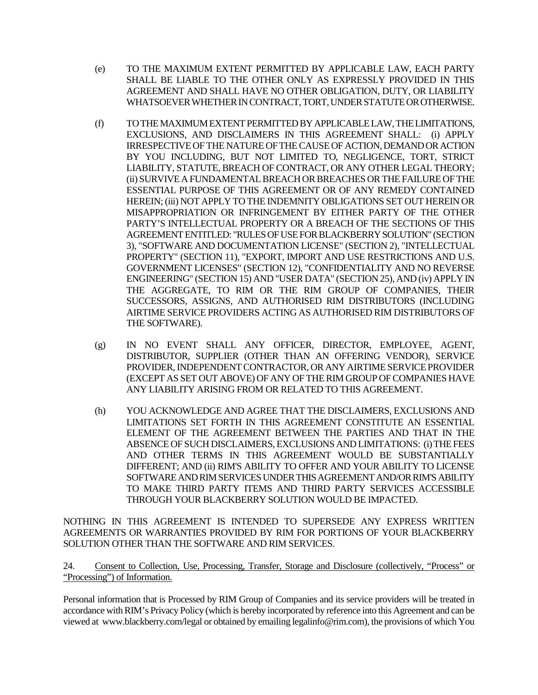- (e) TO THE MAXIMUM EXTENT PERMITTED BY APPLICABLE LAW, EACH PARTY SHALL BE LIABLE TO THE OTHER ONLY AS EXPRESSLY PROVIDED IN THIS AGREEMENT AND SHALL HAVE NO OTHER OBLIGATION, DUTY, OR LIABILITY WHATSOEVER WHETHER IN CONTRACT, TORT, UNDER STATUTE OR OTHERWISE.
- (f) TO THE MAXIMUM EXTENT PERMITTED BY APPLICABLE LAW, THE LIMITATIONS, EXCLUSIONS, AND DISCLAIMERS IN THIS AGREEMENT SHALL: (i) APPLY IRRESPECTIVE OF THE NATURE OF THE CAUSE OF ACTION, DEMAND OR ACTION BY YOU INCLUDING, BUT NOT LIMITED TO, NEGLIGENCE, TORT, STRICT LIABILITY, STATUTE, BREACH OF CONTRACT, OR ANY OTHER LEGAL THEORY; (ii) SURVIVE A FUNDAMENTAL BREACH OR BREACHES OR THE FAILURE OF THE ESSENTIAL PURPOSE OF THIS AGREEMENT OR OF ANY REMEDY CONTAINED HEREIN; (iii) NOT APPLY TO THE INDEMNITY OBLIGATIONS SET OUT HEREIN OR MISAPPROPRIATION OR INFRINGEMENT BY EITHER PARTY OF THE OTHER PARTY'S INTELLECTUAL PROPERTY OR A BREACH OF THE SECTIONS OF THIS AGREEMENT ENTITLED: "RULES OF USE FOR BLACKBERRY SOLUTION" (SECTION 3), "SOFTWARE AND DOCUMENTATION LICENSE" (SECTION 2), "INTELLECTUAL PROPERTY" (SECTION 11), "EXPORT, IMPORT AND USE RESTRICTIONS AND U.S. GOVERNMENT LICENSES" (SECTION 12), "CONFIDENTIALITY AND NO REVERSE ENGINEERING" (SECTION 15) AND "USER DATA" (SECTION 25), AND (iv) APPLY IN THE AGGREGATE, TO RIM OR THE RIM GROUP OF COMPANIES, THEIR SUCCESSORS, ASSIGNS, AND AUTHORISED RIM DISTRIBUTORS (INCLUDING AIRTIME SERVICE PROVIDERS ACTING AS AUTHORISED RIM DISTRIBUTORS OF THE SOFTWARE).
- (g) IN NO EVENT SHALL ANY OFFICER, DIRECTOR, EMPLOYEE, AGENT, DISTRIBUTOR, SUPPLIER (OTHER THAN AN OFFERING VENDOR), SERVICE PROVIDER, INDEPENDENT CONTRACTOR, OR ANY AIRTIME SERVICE PROVIDER (EXCEPT AS SET OUT ABOVE) OF ANY OF THE RIM GROUP OF COMPANIES HAVE ANY LIABILITY ARISING FROM OR RELATED TO THIS AGREEMENT.
- (h) YOU ACKNOWLEDGE AND AGREE THAT THE DISCLAIMERS, EXCLUSIONS AND LIMITATIONS SET FORTH IN THIS AGREEMENT CONSTITUTE AN ESSENTIAL ELEMENT OF THE AGREEMENT BETWEEN THE PARTIES AND THAT IN THE ABSENCE OF SUCH DISCLAIMERS, EXCLUSIONS AND LIMITATIONS: (i) THE FEES AND OTHER TERMS IN THIS AGREEMENT WOULD BE SUBSTANTIALLY DIFFERENT; AND (ii) RIM'S ABILITY TO OFFER AND YOUR ABILITY TO LICENSE SOFTWARE AND RIM SERVICES UNDER THIS AGREEMENT AND/OR RIM'S ABILITY TO MAKE THIRD PARTY ITEMS AND THIRD PARTY SERVICES ACCESSIBLE THROUGH YOUR BLACKBERRY SOLUTION WOULD BE IMPACTED.

NOTHING IN THIS AGREEMENT IS INTENDED TO SUPERSEDE ANY EXPRESS WRITTEN AGREEMENTS OR WARRANTIES PROVIDED BY RIM FOR PORTIONS OF YOUR BLACKBERRY SOLUTION OTHER THAN THE SOFTWARE AND RIM SERVICES.

24. Consent to Collection, Use, Processing, Transfer, Storage and Disclosure (collectively, "Process" or "Processing") of Information.

Personal information that is Processed by RIM Group of Companies and its service providers will be treated in accordance with RIM's Privacy Policy (which is hereby incorporated by reference into this Agreement and can be viewed at www.blackberry.com/legal or obtained by emailing legalinfo@rim.com), the provisions of which You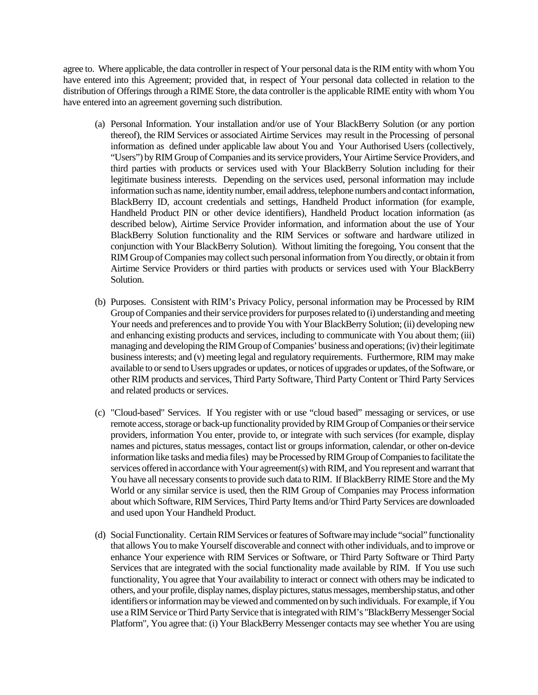agree to. Where applicable, the data controller in respect of Your personal data is the RIM entity with whom You have entered into this Agreement; provided that, in respect of Your personal data collected in relation to the distribution of Offerings through a RIME Store, the data controller is the applicable RIME entity with whom You have entered into an agreement governing such distribution.

- (a) Personal Information. Your installation and/or use of Your BlackBerry Solution (or any portion thereof), the RIM Services or associated Airtime Services may result in the Processing of personal information as defined under applicable law about You and Your Authorised Users (collectively, "Users") by RIM Group of Companies and its service providers, Your Airtime Service Providers, and third parties with products or services used with Your BlackBerry Solution including for their legitimate business interests. Depending on the services used, personal information may include information such as name, identity number, email address, telephone numbers and contact information, BlackBerry ID, account credentials and settings, Handheld Product information (for example, Handheld Product PIN or other device identifiers), Handheld Product location information (as described below), Airtime Service Provider information, and information about the use of Your BlackBerry Solution functionality and the RIM Services or software and hardware utilized in conjunction with Your BlackBerry Solution). Without limiting the foregoing, You consent that the RIM Group of Companies may collect such personal information from You directly, or obtain it from Airtime Service Providers or third parties with products or services used with Your BlackBerry Solution.
- (b) Purposes. Consistent with RIM's Privacy Policy, personal information may be Processed by RIM Group of Companies and their service providers for purposes related to (i) understanding and meeting Your needs and preferences and to provide You with Your BlackBerry Solution; (ii) developing new and enhancing existing products and services, including to communicate with You about them; (iii) managing and developing the RIM Group of Companies' business and operations; (iv) their legitimate business interests; and (v) meeting legal and regulatory requirements. Furthermore, RIM may make available to or send to Users upgrades or updates, or notices of upgrades or updates, of the Software, or other RIM products and services, Third Party Software, Third Party Content or Third Party Services and related products or services.
- (c) "Cloud-based" Services. If You register with or use "cloud based" messaging or services, or use remote access, storage or back-up functionality provided by RIM Group of Companies or their service providers, information You enter, provide to, or integrate with such services (for example, display names and pictures, status messages, contact list or groups information, calendar, or other on-device information like tasks and media files) may be Processed by RIM Group of Companies to facilitate the services offered in accordance with Your agreement(s) with RIM, and You represent and warrant that You have all necessary consents to provide such data to RIM. If BlackBerry RIME Store and the My World or any similar service is used, then the RIM Group of Companies may Process information about which Software, RIM Services, Third Party Items and/or Third Party Services are downloaded and used upon Your Handheld Product.
- (d) Social Functionality. Certain RIM Services or features of Software may include "social" functionality that allows You to make Yourself discoverable and connect with other individuals, and to improve or enhance Your experience with RIM Services or Software, or Third Party Software or Third Party Services that are integrated with the social functionality made available by RIM. If You use such functionality, You agree that Your availability to interact or connect with others may be indicated to others, and your profile, display names, display pictures, status messages, membership status, and other identifiers or informationmay be viewed and commented on by such individuals. For example, if You use a RIM Service or Third Party Service that is integrated with RIM's "BlackBerry Messenger Social Platform", You agree that: (i) Your BlackBerry Messenger contacts may see whether You are using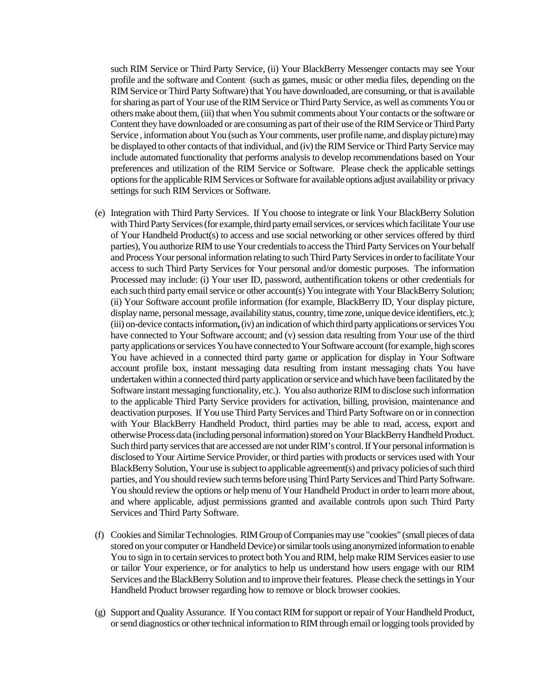such RIM Service or Third Party Service, (ii) Your BlackBerry Messenger contacts may see Your profile and the software and Content (such as games, music or other media files, depending on the RIM Service or Third Party Software) that You have downloaded, are consuming, or that is available for sharing as part of Your use of the RIM Service or Third Party Service, as well as comments You or others make about them, (iii) that when You submit comments about Your contacts or the software or Content they have downloaded or are consuming as part of their use of the RIM Service or Third Party Service , information about You (such as Your comments, user profile name, and display picture) may be displayed to other contacts of that individual, and (iv) the RIM Service or Third Party Service may include automated functionality that performs analysis to develop recommendations based on Your preferences and utilization of the RIM Service or Software. Please check the applicable settings options for the applicableRIM Services or Software for available options adjust availability or privacy settings for such RIM Services or Software.

- (e) Integration with Third Party Services. If You choose to integrate or link Your BlackBerry Solution with Third Party Services (for example, third party email services, or services which facilitate Your use of Your Handheld Product(s) to access and use social networking or other services offered by third parties), You authorize RIM to use Your credentials to access the Third Party Services on Your behalf and Process Your personal information relating to such Third Party Services in order to facilitate Your access to such Third Party Services for Your personal and/or domestic purposes. The information Processed may include: (i) Your user ID, password, authentification tokens or other credentials for each such third party email service or other account(s) You integrate with Your BlackBerry Solution; (ii) Your Software account profile information (for example, BlackBerry ID, Your display picture, display name, personal message, availability status, country, time zone, unique device identifiers, etc.); (iii) on-device contacts information**,**(iv) an indication of which third party applications or services You have connected to Your Software account; and (v) session data resulting from Your use of the third party applications or services You have connected to Your Software account (for example, high scores You have achieved in a connected third party game or application for display in Your Software account profile box, instant messaging data resulting from instant messaging chats You have undertaken within a connected third party application or service and which have been facilitated by the Software instant messaging functionality, etc.). You also authorize RIM to disclose such information to the applicable Third Party Service providers for activation, billing, provision, maintenance and deactivation purposes. If You use Third Party Services and Third Party Software on or in connection with Your BlackBerry Handheld Product, third parties may be able to read, access, export and otherwise Process data (including personal information) stored on Your BlackBerry Handheld Product. Such third party services that are accessed are not under RIM's control.If Your personal information is disclosed to Your Airtime Service Provider, or third parties with products or services used with Your BlackBerry Solution, Your use is subject to applicable agreement(s) and privacy policies of such third parties, and You should review such terms before using Third Party Services and Third Party Software. You should review the options or help menu of Your Handheld Product in order to learn more about, and where applicable, adjust permissions granted and available controls upon such Third Party Services and Third Party Software.
- (f) Cookies and Similar Technologies. RIM Group of Companies may use "cookies" (small pieces of data stored on your computer or Handheld Device) or similar tools using anonymized information to enable You to sign in to certain services to protect both You and RIM, help make RIM Services easier to use or tailor Your experience, or for analytics to help us understand how users engage with our RIM Services and the BlackBerry Solution and to improve their features. Please check the settings in Your Handheld Product browser regarding how to remove or block browser cookies.
- (g) Support and Quality Assurance. If You contact RIM for support or repair of Your Handheld Product, or send diagnostics or other technical information to RIM through email or logging tools provided by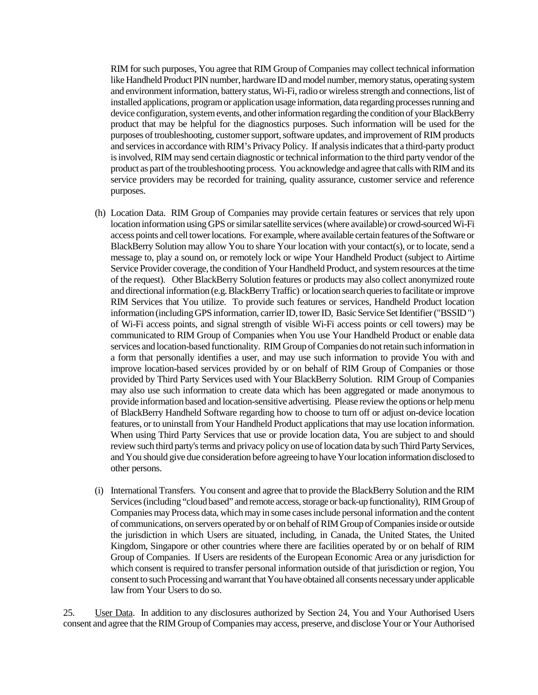RIM for such purposes, You agree that RIM Group of Companies may collect technical information like Handheld Product PIN number, hardware ID and model number, memory status, operating system and environment information, battery status, Wi-Fi, radio or wireless strength and connections, list of installed applications, program or application usage information, data regarding processes running and device configuration, system events, and other information regarding the condition of your BlackBerry product that may be helpful for the diagnostics purposes. Such information will be used for the purposes of troubleshooting, customer support, software updates, and improvement of RIM products and services in accordance with RIM's Privacy Policy. If analysis indicates that a third-party product is involved, RIM may send certain diagnostic or technical information to the third party vendor of the product as part of the troubleshooting process. You acknowledge and agree that calls with RIM and its service providers may be recorded for training, quality assurance, customer service and reference purposes.

- (h) Location Data. RIM Group of Companies may provide certain features or services that rely upon location information using GPS or similar satellite services (where available) or crowd-sourced Wi-Fi access points and cell tower locations. For example, where available certain features of the Software or BlackBerry Solution may allow You to share Your location with your contact(s), or to locate, send a message to, play a sound on, or remotely lock or wipe Your Handheld Product (subject to Airtime Service Provider coverage, the condition of Your Handheld Product, and system resources at the time of the request). Other BlackBerry Solution features or products may also collect anonymized route and directional information (e.g. BlackBerry Traffic) or location search queries to facilitate or improve RIM Services that You utilize. To provide such features or services, Handheld Product location information (including GPS information, carrier ID, tower ID, Basic Service Set Identifier ("BSSID") of Wi-Fi access points, and signal strength of visible Wi-Fi access points or cell towers) may be communicated to RIM Group of Companies when You use Your Handheld Product or enable data services and location-based functionality. RIM Group of Companies do not retain such information in a form that personally identifies a user, and may use such information to provide You with and improve location-based services provided by or on behalf of RIM Group of Companies or those provided by Third Party Services used with Your BlackBerry Solution. RIM Group of Companies may also use such information to create data which has been aggregated or made anonymous to provide information based and location-sensitive advertising. Please review the options or help menu of BlackBerry Handheld Software regarding how to choose to turn off or adjust on-device location features, or to uninstall from Your Handheld Product applications that may use location information. When using Third Party Services that use or provide location data, You are subject to and should review such third party's terms and privacy policy on use of location data by such Third Party Services, and You should give due consideration before agreeing to have Your location information disclosed to other persons.
- (i) International Transfers. You consent and agree that to provide the BlackBerry Solution and the RIM Services (including "cloud based" and remote access, storage or back-up functionality), RIM Group of Companies may Process data, which may in some cases include personal information and the content of communications, on servers operated by or on behalf of RIM Group of Companies inside or outside the jurisdiction in which Users are situated, including, in Canada, the United States, the United Kingdom, Singapore or other countries where there are facilities operated by or on behalf of RIM Group of Companies. If Users are residents of the European Economic Area or any jurisdiction for which consent is required to transfer personal information outside of that jurisdiction or region, You consent to such Processingand warrant that You have obtained all consents necessary under applicable law from Your Users to do so.

25. User Data. In addition to any disclosures authorized by Section 24, You and Your Authorised Users consent and agree that the RIM Group of Companies may access, preserve, and disclose Your or Your Authorised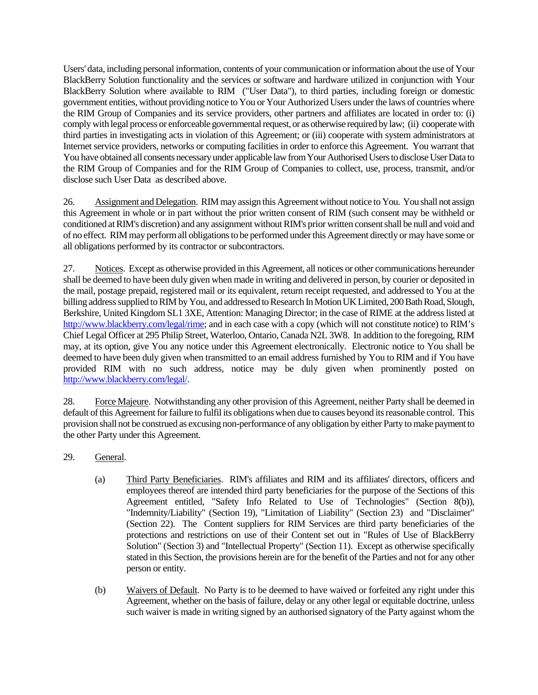Users' data, including personal information, contents of your communication or information about the use of Your BlackBerry Solution functionality and the services or software and hardware utilized in conjunction with Your BlackBerry Solution where available to RIM ("User Data"), to third parties, including foreign or domestic government entities, without providing notice to You or Your Authorized Users under the laws of countries where the RIM Group of Companies and its service providers, other partners and affiliates are located in order to: (i) comply with legal process or enforceable governmental request, or as otherwise required by law; (ii) cooperate with third parties in investigating acts in violation of this Agreement; or (iii) cooperate with system administrators at Internet service providers, networks or computing facilities in order to enforce this Agreement. You warrant that You have obtained all consents necessary under applicable law from Your Authorised Users to disclose User Data to the RIM Group of Companies and for the RIM Group of Companies to collect, use, process, transmit, and/or disclose such User Data as described above.

26. Assignment and Delegation. RIM may assign this Agreement without notice to You. You shall not assign this Agreement in whole or in part without the prior written consent of RIM (such consent may be withheld or conditioned at RIM's discretion) and any assignment without RIM's prior written consent shall be null and void and of no effect. RIM may perform all obligations to be performed under this Agreement directly or may have some or all obligations performed by its contractor or subcontractors.

27. Notices. Except as otherwise provided in this Agreement, all notices or other communications hereunder shall be deemed to have been duly given when made in writing and delivered in person, by courier or deposited in the mail, postage prepaid, registered mail or its equivalent, return receipt requested, and addressed to You at the billing address supplied to RIM by You, and addressed to Research In Motion UK Limited, 200 Bath Road, Slough, Berkshire, United Kingdom SL1 3XE, Attention: Managing Director; in the case of RIME at the address listed at http://www.blackberry.com/legal/rime; and in each case with a copy (which will not constitute notice) to RIM's Chief Legal Officer at 295 Philip Street, Waterloo, Ontario, Canada N2L 3W8. In addition to the foregoing, RIM may, at its option, give You any notice under this Agreement electronically. Electronic notice to You shall be deemed to have been duly given when transmitted to an email address furnished by You to RIM and if You have provided RIM with no such address, notice may be duly given when prominently posted on http://www.blackberry.com/legal/.

28. Force Majeure. Notwithstanding any other provision of this Agreement, neither Party shall be deemed in default of this Agreement for failure to fulfil its obligations when due to causes beyond its reasonable control. This provision shall not be construed as excusing non-performance of any obligation by either Party to make payment to the other Party under this Agreement.

- 29. General.
	- (a) Third Party Beneficiaries. RIM's affiliates and RIM and its affiliates' directors, officers and employees thereof are intended third party beneficiaries for the purpose of the Sections of this Agreement entitled, "Safety Info Related to Use of Technologies" (Section 8(b)), "Indemnity/Liability" (Section 19), "Limitation of Liability" (Section 23) and "Disclaimer" (Section 22).The Content suppliers for RIM Services are third party beneficiaries of the protections and restrictions on use of their Content set out in "Rules of Use of BlackBerry Solution" (Section 3) and "Intellectual Property" (Section 11). Except as otherwise specifically stated in this Section, the provisions herein are for the benefit of the Parties and not for any other person or entity.
	- (b) Waivers of Default. No Party is to be deemed to have waived or forfeited any right under this Agreement, whether on the basis of failure, delay or any other legal or equitable doctrine, unless such waiver is made in writing signed by an authorised signatory of the Party against whom the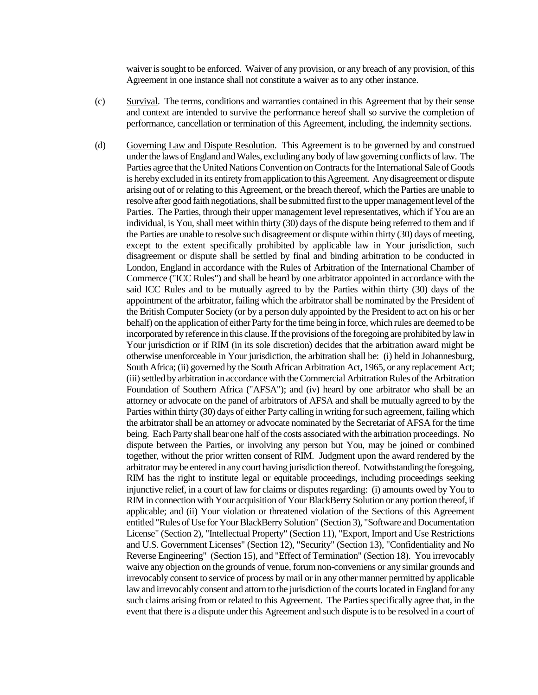waiver is sought to be enforced. Waiver of any provision, or any breach of any provision, of this Agreement in one instance shall not constitute a waiver as to any other instance.

- (c) Survival. The terms, conditions and warranties contained in this Agreement that by their sense and context are intended to survive the performance hereof shall so survive the completion of performance, cancellation or termination of this Agreement, including, the indemnity sections.
- (d) Governing Law and Dispute Resolution. This Agreement is to be governed by and construed under the laws of England and Wales, excluding any body of law governing conflicts of law. The Parties agree that the United Nations Convention on Contracts for the International Sale of Goods is hereby excluded in its entirety from application to this Agreement. Any disagreement or dispute arising out of or relating to this Agreement, or the breach thereof, which the Parties are unable to resolve after good faith negotiations, shall be submitted first to the upper management level of the Parties. The Parties, through their upper management level representatives, which if You are an individual, is You, shall meet within thirty (30) days of the dispute being referred to them and if the Parties are unable to resolve such disagreement or dispute within thirty (30) days of meeting, except to the extent specifically prohibited by applicable law in Your jurisdiction, such disagreement or dispute shall be settled by final and binding arbitration to be conducted in London, England in accordance with the Rules of Arbitration of the International Chamber of Commerce ("ICC Rules") and shall be heard by one arbitrator appointed in accordance with the said ICC Rules and to be mutually agreed to by the Parties within thirty (30) days of the appointment of the arbitrator, failing which the arbitrator shall be nominated by the President of the British Computer Society (or by a person duly appointed by the President to act on his or her behalf) on the application of either Party for the time being in force, which rules are deemed to be incorporated by reference in this clause. If the provisions of the foregoing are prohibited by law in Your jurisdiction or if RIM (in its sole discretion) decides that the arbitration award might be otherwise unenforceable in Your jurisdiction, the arbitration shall be: (i) held in Johannesburg, South Africa; (ii) governed by the South African Arbitration Act, 1965, or any replacement Act; (iii) settled by arbitration in accordance with the Commercial Arbitration Rules of the Arbitration Foundation of Southern Africa ("AFSA"); and (iv) heard by one arbitrator who shall be an attorney or advocate on the panel of arbitrators of AFSA and shall be mutually agreed to by the Parties within thirty (30) days of either Party calling in writing for such agreement, failing which the arbitrator shall be an attorney or advocate nominated by the Secretariat of AFSA for the time being. Each Party shall bear one half of the costs associated with the arbitration proceedings. No dispute between the Parties, or involving any person but You, may be joined or combined together, without the prior written consent of RIM. Judgment upon the award rendered by the arbitrator may be entered in any court having jurisdiction thereof. Notwithstanding the foregoing, RIM has the right to institute legal or equitable proceedings, including proceedings seeking injunctive relief, in a court of law for claims or disputes regarding: (i) amounts owed by You to RIM in connection with Your acquisition of Your BlackBerry Solution or any portion thereof, if applicable; and (ii) Your violation or threatened violation of the Sections of this Agreement entitled "Rules of Use for Your BlackBerry Solution" (Section 3), "Software and Documentation License" (Section 2), "Intellectual Property" (Section 11), "Export, Import and Use Restrictions and U.S. Government Licenses" (Section 12), "Security" (Section 13), "Confidentiality and No Reverse Engineering" (Section 15), and "Effect of Termination" (Section 18). You irrevocably waive any objection on the grounds of venue, forum non-conveniens or any similar grounds and irrevocably consent to service of process by mail or in any other manner permitted by applicable law and irrevocably consent and attorn to the jurisdiction of the courts located in England for any such claims arising from or related to this Agreement. The Parties specifically agree that, in the event that there is a dispute under this Agreement and such dispute is to be resolved in a court of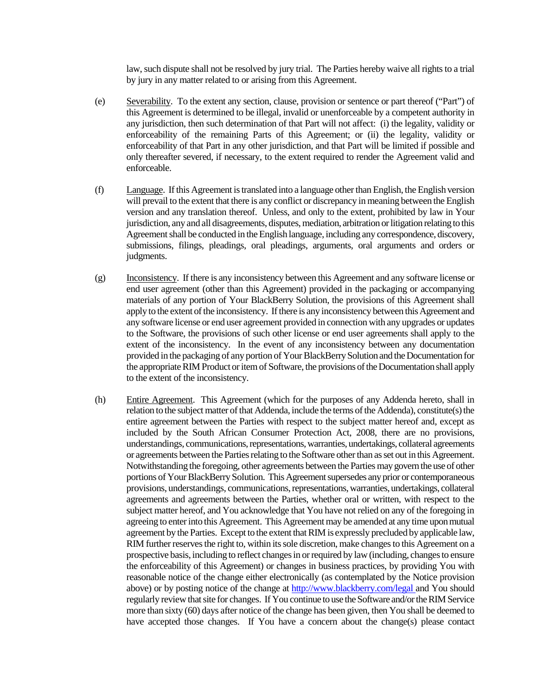law, such dispute shall not be resolved by jury trial. The Parties hereby waive all rights to a trial by jury in any matter related to or arising from this Agreement.

- (e) Severability. To the extent any section, clause, provision or sentence or part thereof ("Part") of this Agreement is determined to be illegal, invalid or unenforceable by a competent authority in any jurisdiction, then such determination of that Part will not affect: (i) the legality, validity or enforceability of the remaining Parts of this Agreement; or (ii) the legality, validity or enforceability of that Part in any other jurisdiction, and that Part will be limited if possible and only thereafter severed, if necessary, to the extent required to render the Agreement valid and enforceable.
- (f) Language. If this Agreement is translated into a language other than English, the English version will prevail to the extent that there is any conflict or discrepancy in meaning between the English version and any translation thereof. Unless, and only to the extent, prohibited by law in Your jurisdiction, any and all disagreements, disputes, mediation, arbitration or litigation relating to this Agreement shall be conducted in the English language, including any correspondence, discovery, submissions, filings, pleadings, oral pleadings, arguments, oral arguments and orders or judgments.
- (g) Inconsistency. If there is any inconsistency between this Agreement and any software license or end user agreement (other than this Agreement) provided in the packaging or accompanying materials of any portion of Your BlackBerry Solution, the provisions of this Agreement shall apply to the extent of the inconsistency. If there is any inconsistency between this Agreement and any software license or end user agreement provided in connection with any upgrades or updates to the Software, the provisions of such other license or end user agreements shall apply to the extent of the inconsistency. In the event of any inconsistency between any documentation provided in the packaging of any portion of Your BlackBerry Solution and the Documentation for the appropriate RIM Product or item of Software, the provisions of the Documentation shall apply to the extent of the inconsistency.
- (h) Entire Agreement. This Agreement (which for the purposes of any Addenda hereto, shall in relation to the subject matter of that Addenda, include the terms of the Addenda), constitute(s) the entire agreement between the Parties with respect to the subject matter hereof and, except as included by the South African Consumer Protection Act, 2008, there are no provisions, understandings, communications, representations, warranties, undertakings, collateral agreements or agreements between the Parties relating to the Software other than as set out in this Agreement. Notwithstanding the foregoing, other agreements between the Parties may govern the use of other portions of Your BlackBerry Solution. This Agreement supersedes any prior or contemporaneous provisions, understandings, communications, representations, warranties, undertakings, collateral agreements and agreements between the Parties, whether oral or written, with respect to the subject matter hereof, and You acknowledge that You have not relied on any of the foregoing in agreeing to enter into this Agreement. This Agreement may be amended at any time upon mutual agreement by the Parties. Except to the extent that RIM is expressly precluded by applicable law, RIM further reserves the right to, within its sole discretion, make changes to this Agreement on a prospective basis, including to reflect changes in or required by law (including, changes to ensure the enforceability of this Agreement) or changes in business practices, by providing You with reasonable notice of the change either electronically (as contemplated by the Notice provision above) or by posting notice of the change at http://www.blackberry.com/legal and You should regularly review that site for changes. If You continue to use the Software and/or the RIM Service more than sixty (60) days after notice of the change has been given, then You shall be deemed to have accepted those changes. If You have a concern about the change(s) please contact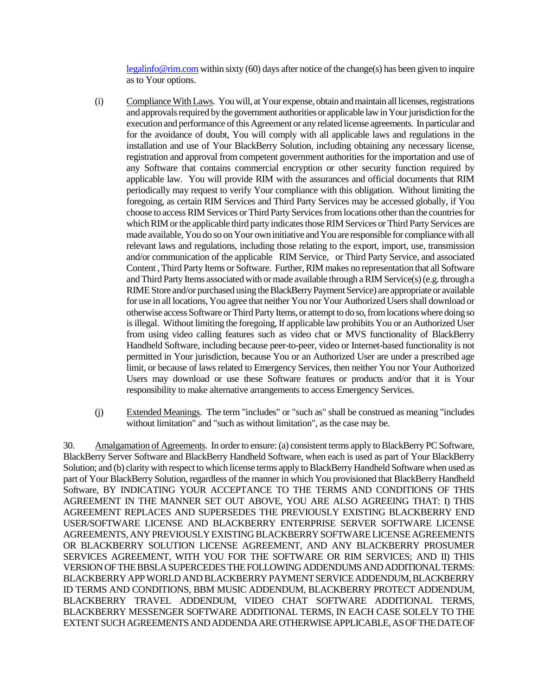legalinfo@rim.com within sixty (60) days after notice of the change(s) has been given to inquire as to Your options.

- (i) Compliance With Laws. You will, at Your expense, obtain and maintain all licenses, registrations and approvals required by the government authorities or applicable law in Your jurisdiction for the execution and performance of this Agreement or any related license agreements. In particular and for the avoidance of doubt, You will comply with all applicable laws and regulations in the installation and use of Your BlackBerry Solution, including obtaining any necessary license, registration and approval from competent government authorities for the importation and use of any Software that contains commercial encryption or other security function required by applicable law. You will provide RIM with the assurances and official documents that RIM periodically may request to verify Your compliance with this obligation. Without limiting the foregoing, as certain RIM Services and Third Party Services may be accessed globally, if You choose to access RIM Services or Third Party Services from locations other than the countries for which RIM or the applicable third party indicates those RIM Services or Third Party Services are made available, You do so on Your own initiative and You are responsible for compliance with all relevant laws and regulations, including those relating to the export, import, use, transmission and/or communication of the applicable RIM Service, or Third Party Service, and associated Content , Third Party Items or Software. Further, RIM makes no representation that all Software and Third Party Items associated with or made available through a RIM Service(s) (e.g. through a RIME Store and/or purchased using the BlackBerry Payment Service) are appropriate or available for use in all locations, You agree that neither You nor Your Authorized Users shall download or otherwise access Software or Third Party Items, or attempt to do so, from locations where doing so isillegal. Without limiting the foregoing, If applicable law prohibits You or an Authorized User from using video calling features such as video chat or MVS functionality of BlackBerry Handheld Software, including because peer-to-peer, video or Internet-based functionality is not permitted in Your jurisdiction, because You or an Authorized User are under a prescribed age limit, or because of laws related to Emergency Services, then neither You nor Your Authorized Users may download or use these Software features or products and/or that it is Your responsibility to make alternative arrangements to access Emergency Services.
- (j) Extended Meanings. The term "includes" or "such as" shall be construed as meaning "includes without limitation" and "such as without limitation", as the case may be.

30. Amalgamation of Agreements. In order to ensure: (a) consistent terms apply to BlackBerry PC Software, BlackBerry Server Software and BlackBerry Handheld Software, when each is used as part of Your BlackBerry Solution; and (b) clarity with respect to which license terms apply to BlackBerry Handheld Software when used as part of Your BlackBerry Solution, regardless of the manner in which You provisioned that BlackBerry Handheld Software, BY INDICATING YOUR ACCEPTANCE TO THE TERMS AND CONDITIONS OF THIS AGREEMENT IN THE MANNER SET OUT ABOVE, YOU ARE ALSO AGREEING THAT: I) THIS AGREEMENT REPLACES AND SUPERSEDES THE PREVIOUSLY EXISTING BLACKBERRY END USER/SOFTWARE LICENSE AND BLACKBERRY ENTERPRISE SERVER SOFTWARE LICENSE AGREEMENTS, ANY PREVIOUSLY EXISTING BLACKBERRY SOFTWARELICENSE AGREEMENTS OR BLACKBERRY SOLUTION LICENSE AGREEMENT, AND ANY BLACKBERRY PROSUMER SERVICES AGREEMENT, WITH YOU FOR THE SOFTWARE OR RIM SERVICES; AND II) THIS VERSION OF THE BBSLA SUPERCEDES THE FOLLOWING ADDENDUMSAND ADDITIONAL TERMS: BLACKBERRY APP WORLD AND BLACKBERRY PAYMENT SERVICE ADDENDUM, BLACKBERRY ID TERMS AND CONDITIONS, BBM MUSIC ADDENDUM, BLACKBERRY PROTECT ADDENDUM, BLACKBERRY TRAVEL ADDENDUM, VIDEO CHAT SOFTWARE ADDITIONAL TERMS, BLACKBERRY MESSENGER SOFTWARE ADDITIONAL TERMS, IN EACH CASE SOLELY TO THE EXTENT SUCH AGREEMENTSAND ADDENDAARE OTHERWISE APPLICABLE, AS OF THE DATE OF